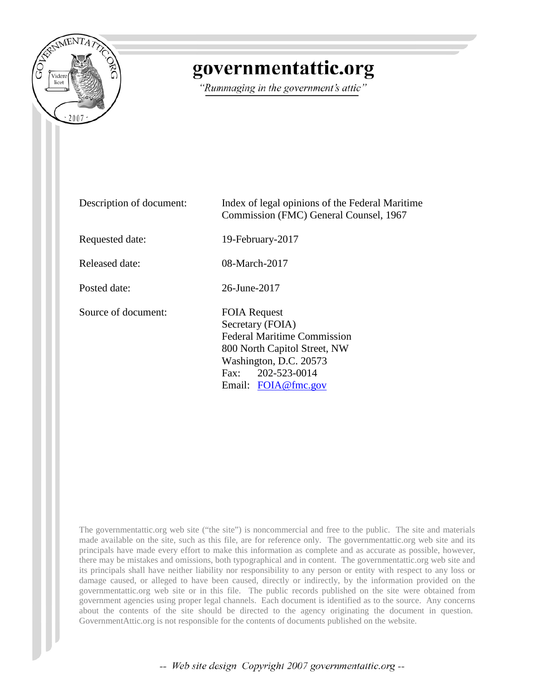

# governmentattic.org

"Rummaging in the government's attic"

| Description of document: | Index of legal opinions of the Federal Maritime<br>Commission (FMC) General Counsel, 1967                                                                                           |
|--------------------------|-------------------------------------------------------------------------------------------------------------------------------------------------------------------------------------|
| Requested date:          | 19-February-2017                                                                                                                                                                    |
| Released date:           | 08-March-2017                                                                                                                                                                       |
| Posted date:             | 26-June-2017                                                                                                                                                                        |
| Source of document:      | <b>FOIA Request</b><br>Secretary (FOIA)<br><b>Federal Maritime Commission</b><br>800 North Capitol Street, NW<br>Washington, D.C. 20573<br>Fax: 202-523-0014<br>Email: FOIA@fmc.gov |

The governmentattic.org web site ("the site") is noncommercial and free to the public. The site and materials made available on the site, such as this file, are for reference only. The governmentattic.org web site and its principals have made every effort to make this information as complete and as accurate as possible, however, there may be mistakes and omissions, both typographical and in content. The governmentattic.org web site and its principals shall have neither liability nor responsibility to any person or entity with respect to any loss or damage caused, or alleged to have been caused, directly or indirectly, by the information provided on the governmentattic.org web site or in this file. The public records published on the site were obtained from government agencies using proper legal channels. Each document is identified as to the source. Any concerns about the contents of the site should be directed to the agency originating the document in question. GovernmentAttic.org is not responsible for the contents of documents published on the website.

-- Web site design Copyright 2007 governmentattic.org --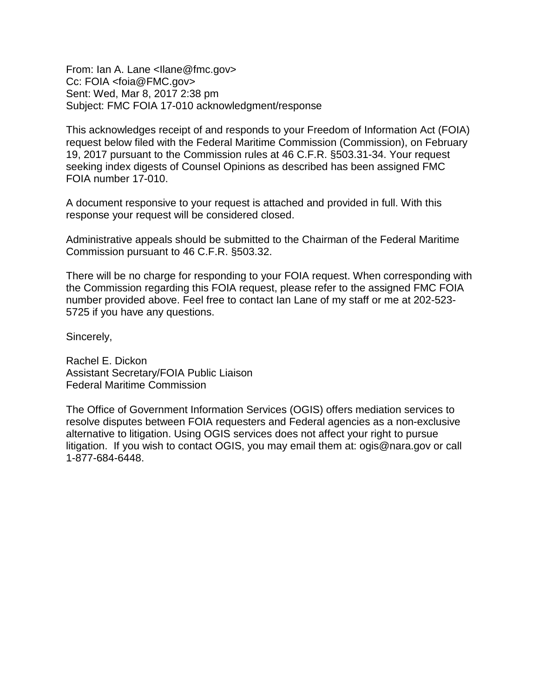From: Ian A. Lane <Ilane@fmc.gov> Cc: FOIA <foia@FMC.gov> Sent: Wed, Mar 8, 2017 2:38 pm Subject: FMC FOIA 17-010 acknowledgment/response

This acknowledges receipt of and responds to your Freedom of Information Act (FOIA) request below filed with the Federal Maritime Commission (Commission), on February 19, 2017 pursuant to the Commission rules at 46 C.F.R. §503.31-34. Your request seeking index digests of Counsel Opinions as described has been assigned FMC FOIA number 17-010.

A document responsive to your request is attached and provided in full. With this response your request will be considered closed.

Administrative appeals should be submitted to the Chairman of the Federal Maritime Commission pursuant to 46 C.F.R. §503.32.

There will be no charge for responding to your FOIA request. When corresponding with the Commission regarding this FOIA request, please refer to the assigned FMC FOIA number provided above. Feel free to contact Ian Lane of my staff or me at 202-523- 5725 if you have any questions.

Sincerely,

Rachel E. Dickon Assistant Secretary/FOIA Public Liaison Federal Maritime Commission

The Office of Government Information Services (OGIS) offers mediation services to resolve disputes between FOIA requesters and Federal agencies as a non-exclusive alternative to litigation. Using OGIS services does not affect your right to pursue litigation. If you wish to contact OGIS, you may email them at: ogis@nara.gov or call 1-877-684-6448.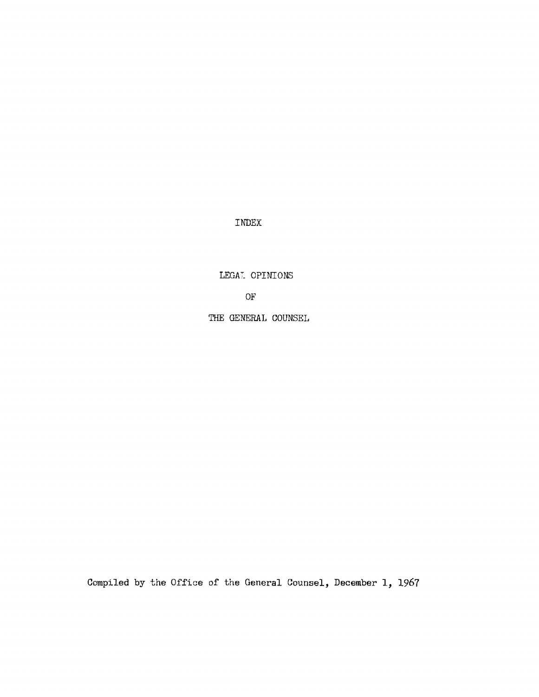INDEX

LEGAT OPINIONS

OF

THE GENERAL COUNSEL

Compiled by the Office of the General Counsel, December 1, 1967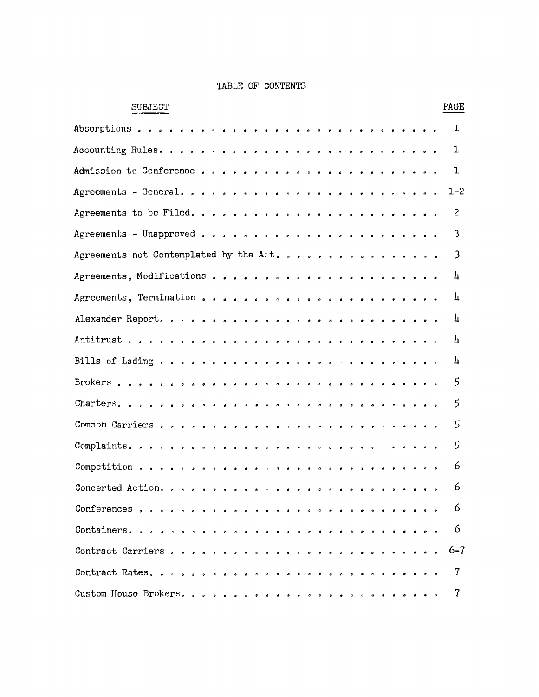#### TABLE OF CONTENTS

| <b>SUBJECT</b>                                                                                  |  | PAGE           |
|-------------------------------------------------------------------------------------------------|--|----------------|
| Absorptions<br>$\bullet$<br>.                                                                   |  | ı              |
| Accounting Rules.<br>$\bullet$ $\bullet$ $\bullet$                                              |  | ı              |
| Admission to Conference<br>$\bullet$<br>$\bullet$ $\bullet$ $\bullet$<br>$\bullet$<br>$\bullet$ |  | ı              |
| Agreements - General.<br>$\bullet$                                                              |  | $1 - 2$        |
| Agreements to be Filed.<br>$\blacksquare$<br>$\alpha$                                           |  | 2              |
| Agreements - Unapproved<br>$\bullet$ $\bullet$                                                  |  | 3              |
| Agreements not Contemplated by the Act.                                                         |  | 3              |
|                                                                                                 |  | 4              |
|                                                                                                 |  | 4              |
|                                                                                                 |  | 4              |
|                                                                                                 |  | 4              |
|                                                                                                 |  | 4              |
|                                                                                                 |  | 5              |
|                                                                                                 |  | $\mathbf{5}$   |
|                                                                                                 |  | $\mathfrak{S}$ |
|                                                                                                 |  | 5              |
|                                                                                                 |  | 6              |
| Concerted Action, , , , , , , , , ,<br>$\alpha$ $\alpha$                                        |  | 6              |
|                                                                                                 |  | 6              |
|                                                                                                 |  | 6              |
|                                                                                                 |  | $6 - 7$        |
|                                                                                                 |  | 7              |
| Custom House Brokers.                                                                           |  | T              |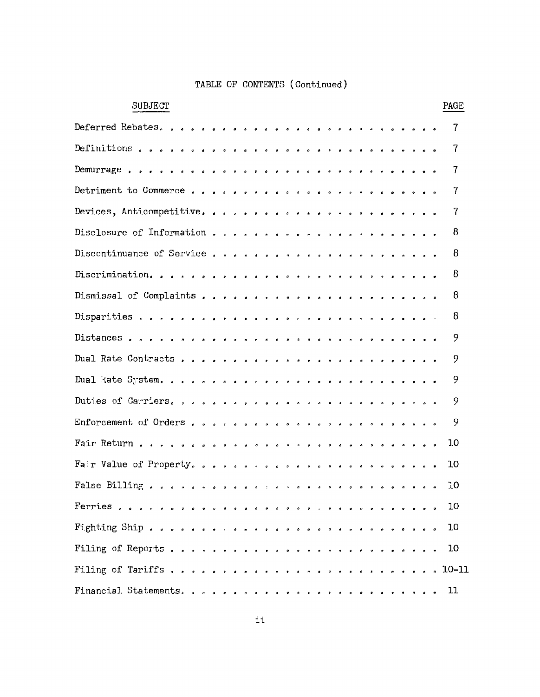| <b>SUBJECT</b>                                                                                                                                                                                                                                                                                                                  | PAGE           |
|---------------------------------------------------------------------------------------------------------------------------------------------------------------------------------------------------------------------------------------------------------------------------------------------------------------------------------|----------------|
| Deferred Rebates.<br>$\bullet$<br>$\bullet$<br>$\bullet$<br>$\bullet$<br>$\pmb{\sigma}$<br>$\bullet$<br>۰<br>۰<br>$\bullet$<br>$\bullet$<br>$\bullet$<br>$\bullet$<br>۰<br>$\bullet$                                                                                                                                            | 7              |
| Definitions<br>$\bullet$<br>$\bullet$<br>$\bullet$<br>$\bullet$<br>$\bullet$<br>$\pmb{\phi}$<br>$\pmb{\circ}$<br>$\bullet$<br>$\bullet$<br>$\bullet$<br>$\bullet$<br>$\bullet$<br>٥<br>$\bullet$<br>$\pmb{\sigma}$<br>۰<br>$\bullet$                                                                                            | 7              |
| Demurrage<br>$\pmb{\delta}$<br>$\pmb{\delta}$<br>$\pmb{\sigma}$<br>$\bullet$<br>$\blacksquare$<br>$\bullet$<br>$\hat{\pmb{\sigma}}$<br>$\pmb{\mathfrak{g}}$<br>$\bullet$<br>$\pmb{\delta}$<br>$\bullet$<br>$\bullet$<br>$\pmb{\sigma}$<br>$\pmb{\sigma}$<br>$\pmb{\delta}$<br>$\pmb{\sigma}$<br>$\pmb{\sigma}$                  | 7              |
| Detriment to Commerce<br>$\theta$ $\theta$<br>$\bullet$<br>$\pmb{s}$<br>$\pmb{s}$<br>$\pmb{\mathfrak{g}}$<br>$\pmb{\mathfrak{o}}$<br>$\mathfrak{a}$<br>$\bullet$<br>$\pmb{\circ}$<br>$\mathbf{p}$                                                                                                                               | 7              |
| Devices, Anticompetitive.<br>$\sigma$<br>$\pmb{\sigma}$<br>$\pmb{s}$<br>$\pmb{\hat{a}}$<br>۰<br>$\pmb{\sigma}$<br>$\hat{\mathbf{r}}$<br>$\bullet$<br>$\bullet$                                                                                                                                                                  | $\overline{7}$ |
| Disclosure of Information<br>$\sigma$ .<br>$\pmb{\sigma}$<br>$\bullet$<br>$\pmb{\sigma}$<br>$\pmb{\mathfrak{a}}$<br>$\bullet$<br>$\pmb{\delta}$<br>٠<br>۵                                                                                                                                                                       | 8              |
| Discontinuance of Service<br>$\alpha$ .<br>$\pmb{\sigma}$<br>$\pmb{\sigma}$<br>$\bullet$<br>$\bullet$<br>$\bullet$<br>$\pmb{\mathsf{n}}$                                                                                                                                                                                        | 8              |
| Discrimination.<br>$\sigma$<br>$\bullet$<br>$\bullet$<br>$\pmb{s}$<br>$\bullet$<br>$\bullet$<br>$\bullet$<br>$\pmb{\sigma}$<br>$\mathbf{p}$                                                                                                                                                                                     | 8              |
| Dismissal of Complaints<br>$\pmb{\sigma}$<br>$\bullet$<br>$\bullet$<br>$\pmb{a}$<br>$\bullet$<br>$\bullet$<br>$\bullet$                                                                                                                                                                                                         | 8              |
| Disparities<br>$\bullet$<br>$\bullet$<br>$\begin{array}{cccccccccccccc} \bullet & \bullet & \bullet & \bullet & \bullet & \bullet & \bullet & \bullet \end{array}$<br>$\pmb{\circ}$<br>$\mathcal{O}(\mathcal{O})$<br>$\pmb{\sigma}$<br>$\bullet$<br>$\bullet$<br>$\pmb{\rho}$<br>$\bullet$<br>$\pmb{\mathfrak{g}}$<br>$\bullet$ | 8              |
| Distances<br>$\bullet$<br>$\bullet$<br>$\mathcal{A}$<br>$\bullet$<br>$\bullet$<br>$\theta$ $\theta$ $\theta$ $\theta$ $\theta$ $\theta$ $\theta$<br>$\theta$ $\theta$ $\theta$<br>$\bullet$<br>$\bullet$<br>$\bullet$<br>$\theta$<br>$\pmb{\sigma}$<br>$\pmb{\circ}$                                                            | 9              |
| Dual Rate Contracts<br>$\bullet$<br>$\bullet$ $\bullet$<br>$\alpha$<br>$\pmb{\phi}$<br>$\bullet$<br>$\pmb{a}$<br>$\bullet$<br>$\pmb{a}$<br>$\pmb{\mathfrak{o}}$                                                                                                                                                                 | 9              |
| Dual kate System.<br>$\sigma$ – $\sigma$ – $\sigma$ –<br>$\sigma$ .<br>$\pmb{\circ}$<br>$\bullet$<br>$\pmb{\sigma}$<br>۰<br>$\bullet$                                                                                                                                                                                           | 9              |
| Duties of Carriers.<br>$\bullet$<br>$\pmb{\delta}$<br>$\sigma$<br>$\pmb{\sigma}$<br>$\bullet$<br>$\bullet$                                                                                                                                                                                                                      | 9              |
| Enforcement of Orders<br>$\bullet$<br>$\pmb{\sigma}$<br>$\bullet$<br>$\pmb{\mathfrak{o}}$<br>$\bullet$<br>$\bullet$<br>$\bullet$<br>$\pmb{\sigma}$<br>$\bullet$                                                                                                                                                                 | 9              |
| Fair Return<br>$\begin{array}{cccccccccccccc} \bullet & \bullet & \bullet & \bullet & \bullet & \bullet & \bullet \end{array}$<br>$\begin{array}{cccccccccccccc} a & a & a & a & a & a & a \end{array}$<br>$\bullet$<br>$\bullet$<br>$\bullet$<br>$\pmb{\sigma}$<br>$\sigma$<br>$\bullet$<br>$\bullet$<br>$\pmb{\circ}$         | 10             |
| Fair Value of Property.<br>$\pmb{\sigma}$<br>$\bullet$                                                                                                                                                                                                                                                                          | 10             |
| False Billing.<br>$\bullet$<br>$\pmb{\delta}$<br>$\bullet$<br>$\pmb{\sigma}$                                                                                                                                                                                                                                                    | 10             |
|                                                                                                                                                                                                                                                                                                                                 | 10             |
|                                                                                                                                                                                                                                                                                                                                 | 10             |
|                                                                                                                                                                                                                                                                                                                                 | 10             |
|                                                                                                                                                                                                                                                                                                                                 |                |
|                                                                                                                                                                                                                                                                                                                                 |                |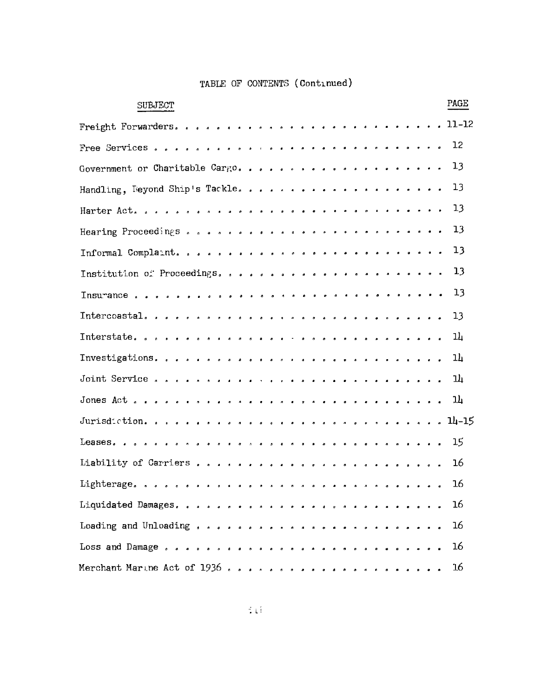| PAGE<br><b>SUBJECT</b>                |
|---------------------------------------|
| $\ldots$ 11-12<br>Freight Forwarders. |
| 12                                    |
| 13<br>Government or Charitable Cargo  |
| 13                                    |
| 13                                    |
| 13                                    |
| 13                                    |
| 13                                    |
| 13                                    |
| 13                                    |
| 14                                    |
| 14                                    |
| 과                                     |
| 14                                    |
|                                       |
| 15                                    |
| 16                                    |
| 16                                    |
| Liquidated Damages.<br>16             |
| Loading and Unloading<br>16           |
| 16                                    |
| 16<br>Merchant Marine Act of $1936$   |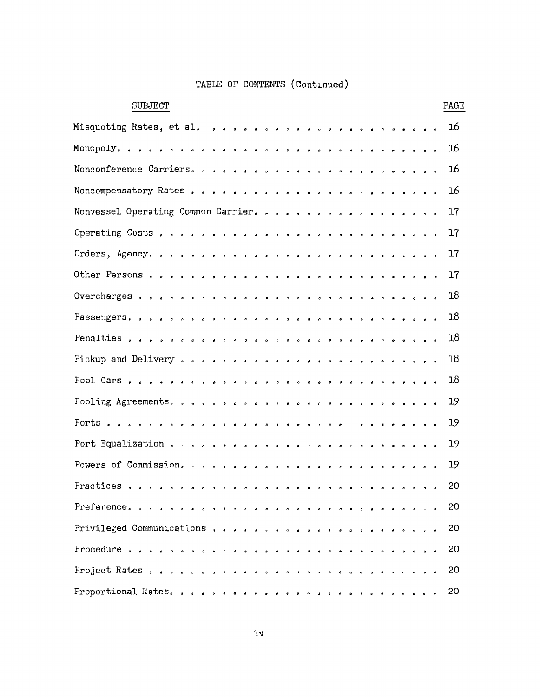| <b>SUBJECT</b>                              |  |                                                                                                                                               |                                              |  |           |           |                    |           |  |  |            |  |  | PAGE |
|---------------------------------------------|--|-----------------------------------------------------------------------------------------------------------------------------------------------|----------------------------------------------|--|-----------|-----------|--------------------|-----------|--|--|------------|--|--|------|
|                                             |  |                                                                                                                                               |                                              |  |           |           |                    |           |  |  |            |  |  | 16   |
|                                             |  |                                                                                                                                               |                                              |  |           |           |                    |           |  |  |            |  |  | 16   |
|                                             |  |                                                                                                                                               |                                              |  |           |           |                    |           |  |  |            |  |  | 16   |
|                                             |  |                                                                                                                                               |                                              |  |           |           |                    |           |  |  |            |  |  | 16   |
| Nonvessel Operating Common Carrier.         |  |                                                                                                                                               |                                              |  |           |           |                    |           |  |  |            |  |  | 17   |
|                                             |  |                                                                                                                                               |                                              |  |           |           |                    |           |  |  |            |  |  | 17   |
|                                             |  |                                                                                                                                               |                                              |  |           |           |                    |           |  |  |            |  |  | 17   |
|                                             |  |                                                                                                                                               |                                              |  |           |           |                    |           |  |  |            |  |  | 17   |
|                                             |  |                                                                                                                                               |                                              |  |           |           |                    |           |  |  |            |  |  | 18   |
|                                             |  |                                                                                                                                               |                                              |  |           |           |                    |           |  |  |            |  |  | 18   |
|                                             |  |                                                                                                                                               |                                              |  |           |           |                    |           |  |  |            |  |  | 18   |
|                                             |  |                                                                                                                                               |                                              |  |           |           |                    |           |  |  |            |  |  | 18   |
|                                             |  |                                                                                                                                               |                                              |  |           |           |                    |           |  |  |            |  |  | 18   |
|                                             |  |                                                                                                                                               |                                              |  |           |           |                    |           |  |  |            |  |  | 19   |
|                                             |  |                                                                                                                                               |                                              |  |           |           |                    |           |  |  | . <b>.</b> |  |  | 19   |
|                                             |  |                                                                                                                                               |                                              |  |           |           |                    |           |  |  |            |  |  | 19   |
|                                             |  |                                                                                                                                               |                                              |  |           |           |                    |           |  |  |            |  |  | 19   |
| Practices<br>$\mathbf{a}$<br>$\mathbf{a}$   |  |                                                                                                                                               |                                              |  |           |           |                    |           |  |  |            |  |  | 20   |
| Preference                                  |  |                                                                                                                                               | $\theta$ $\theta$ $\theta$ $\theta$ $\theta$ |  |           |           |                    |           |  |  |            |  |  | 20   |
| Privileged Communications , , , , , , , , , |  |                                                                                                                                               |                                              |  | $\bullet$ | $\bullet$ |                    |           |  |  |            |  |  | 20   |
| Procedure $\ldots$ $\ldots$                 |  | $\begin{array}{cccccccccccccccccc} \star & \circ & \circ & \circ & \circ & \circ & \circ & \circ & \circ & \circ & \circ & \circ \end{array}$ |                                              |  |           |           | $\blacksquare$     |           |  |  |            |  |  | 20   |
| Project Rates                               |  |                                                                                                                                               |                                              |  |           |           | $\sim$ 10 $^\circ$ | $\bullet$ |  |  |            |  |  | 20   |
|                                             |  |                                                                                                                                               |                                              |  |           |           |                    |           |  |  |            |  |  | 20   |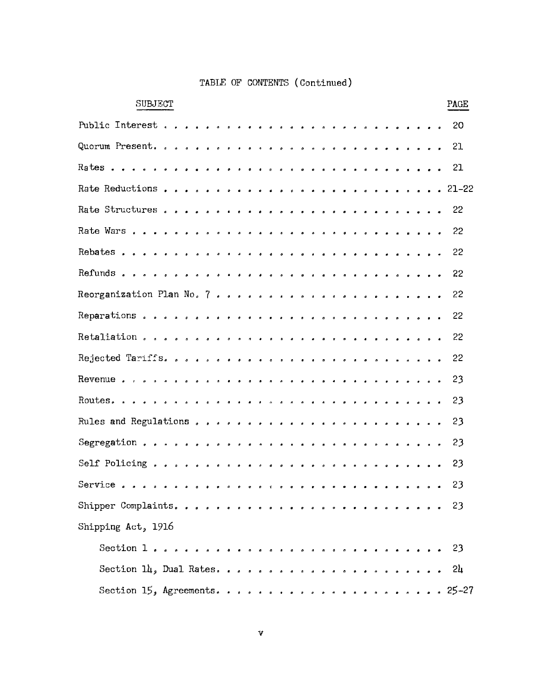| SUBJECT<br>PAGE                                                                                 |  |
|-------------------------------------------------------------------------------------------------|--|
| Public Interest<br>20<br>$\mathcal{A}$<br>$\overline{a}$<br>$\sim$ $\sigma$<br>$\bullet$        |  |
| Quorum Present.<br>21<br>o o o o o o<br>.<br>$\bullet$                                          |  |
| 21<br>.                                                                                         |  |
|                                                                                                 |  |
| 22                                                                                              |  |
| 22                                                                                              |  |
| 22                                                                                              |  |
| 22                                                                                              |  |
| 22                                                                                              |  |
| 22                                                                                              |  |
| 22                                                                                              |  |
| 22                                                                                              |  |
| 23                                                                                              |  |
| 23                                                                                              |  |
| 23                                                                                              |  |
| 23                                                                                              |  |
| 23<br>$\bullet$<br>$\bullet$ $\bullet$                                                          |  |
| 23<br>Service<br>$\bullet$<br>$\bullet$<br>$\bullet$ $\bullet$ $\bullet$ $\bullet$<br>$\bullet$ |  |
|                                                                                                 |  |
| Shipping Act, 1916                                                                              |  |
|                                                                                                 |  |
|                                                                                                 |  |
|                                                                                                 |  |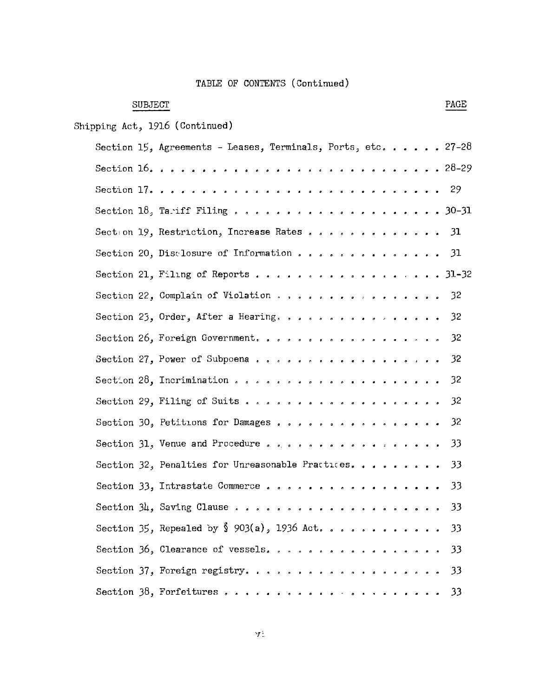# **SUBJECT**

Shipping Act, 1916 (Continued)

| Section 15, Agreements - Leases, Terminals, Ports, etc. 27-28 |       |
|---------------------------------------------------------------|-------|
|                                                               |       |
|                                                               |       |
|                                                               |       |
| Section 19, Restriction, Increase Rates 31                    |       |
| Section 20, Disclosure of Information 31                      |       |
| Section 21, Filing of Reports 31-32                           |       |
| Section 22, Complain of Violation 32                          |       |
| Section 23, Order, After a Hearing. 32                        |       |
| Section 26, Foreign Government.                               | $-32$ |
|                                                               |       |
|                                                               | 32    |
| Section 29, Filing of Suits 32                                |       |
| Section 30, Petitions for Damages                             | $-32$ |
| Section 31, Venue and Procedure 33                            |       |
| Section 32, Penalties for Unreasonable Practices              | - 33  |
| Section 33, Intrastate Commerce                               | -33   |
|                                                               |       |
|                                                               |       |
| Section 36, Clearance of vessels.                             | -33   |
| Section 37, Foreign registry.                                 | 33    |
|                                                               | - 33  |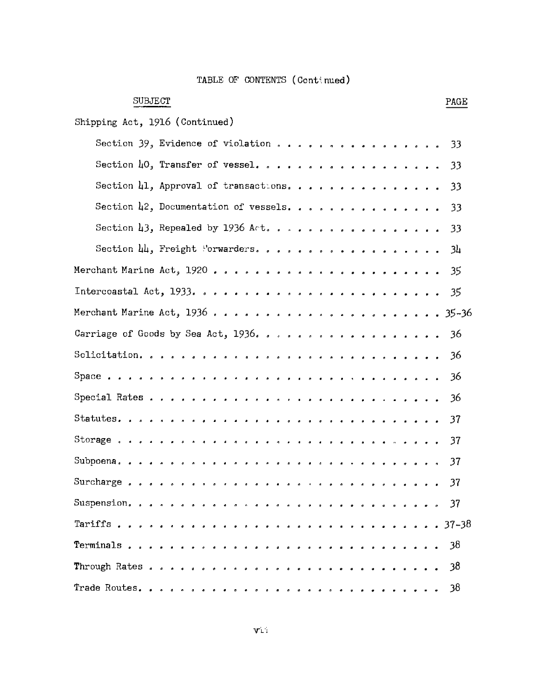| <b>SUBJECT</b><br>PAGE                                    |  |
|-----------------------------------------------------------|--|
| Shipping Act, 1916 (Continued)                            |  |
| Section 39, Evidence of violation<br>33                   |  |
| Section 40, Transfer of vessel.<br>33                     |  |
| Section 41, Approval of transactions.<br>33               |  |
| Section 42, Documentation of vessels.<br>33               |  |
| Section $\mu$ 3, Repealed by 1936 Act.<br>33              |  |
| Section 44, Freight "orwarders.<br>34                     |  |
| 35                                                        |  |
| 35                                                        |  |
|                                                           |  |
| Carriage of Goods by Sea Act, 1936.<br>36                 |  |
| 36                                                        |  |
| 36                                                        |  |
| 36                                                        |  |
| 37                                                        |  |
| 37                                                        |  |
| 37                                                        |  |
| Surcharge $\sqrt{s}$ .<br>37<br>$\bullet$<br>. <i>. .</i> |  |
| . 37                                                      |  |
| $\ldots$ 37–38                                            |  |
| - 38                                                      |  |
| -38                                                       |  |
| 38<br>Trade Routes.                                       |  |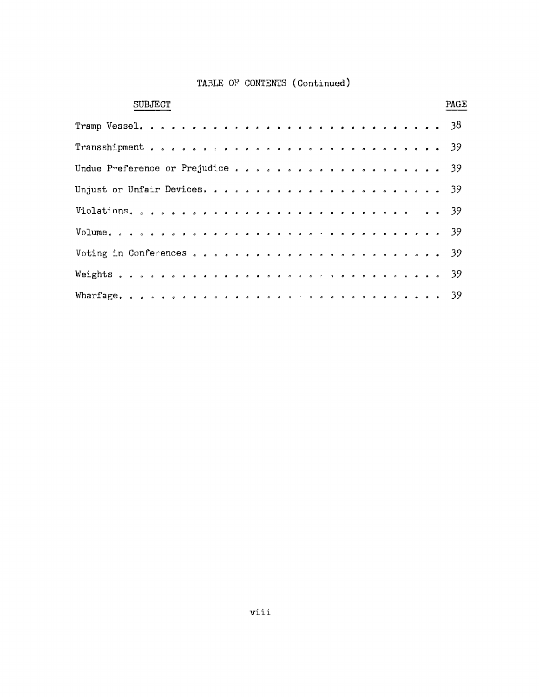| <b>SUBJECT</b> |  |  |  |  |  |  |  |  |  |  |  |  |  | PAGE |
|----------------|--|--|--|--|--|--|--|--|--|--|--|--|--|------|
|                |  |  |  |  |  |  |  |  |  |  |  |  |  |      |
|                |  |  |  |  |  |  |  |  |  |  |  |  |  |      |
|                |  |  |  |  |  |  |  |  |  |  |  |  |  |      |
|                |  |  |  |  |  |  |  |  |  |  |  |  |  |      |
|                |  |  |  |  |  |  |  |  |  |  |  |  |  |      |
|                |  |  |  |  |  |  |  |  |  |  |  |  |  |      |
|                |  |  |  |  |  |  |  |  |  |  |  |  |  |      |
|                |  |  |  |  |  |  |  |  |  |  |  |  |  |      |
|                |  |  |  |  |  |  |  |  |  |  |  |  |  |      |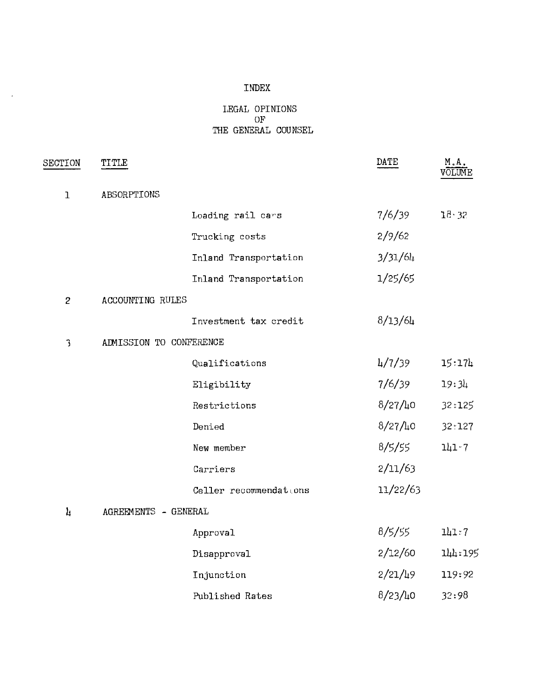#### INDEX

 $\sim 10^7$ 

#### LEGAL OPINIONS OF THE GENERAL COUNSEL

| SECTION        | TITLE                   |                        | DATE        | M.A.<br>VOLUME |
|----------------|-------------------------|------------------------|-------------|----------------|
| $\mathbf{I}$   | ABSORPTIONS             |                        |             |                |
|                |                         | Loading rail cars      | 7/6/39      | $18 - 32$      |
|                |                         | Trucking costs         | 2/9/62      |                |
|                |                         | Inland Transportation  | 3/31/64     |                |
|                |                         | Inland Transportation  | 1/25/65     |                |
| $\overline{c}$ | ACCOUNTING RULES        |                        |             |                |
|                |                         | Investment tax credit  | 8/13/64     |                |
| 3              | ADMISSION TO CONFERENCE |                        |             |                |
|                |                         | Qualifications         | 4/7/39      | 15:174         |
|                |                         | Eligibility            | 7/6/39      | 19:34          |
|                |                         | Restrictions           | $8/27/l_10$ | 32:125         |
|                |                         | Denied                 | $8/27/l_10$ | 32.127         |
|                |                         | New member             | 8/5/55      | $111 - 7$      |
|                |                         | Carriers               | 2/11/63     |                |
|                |                         | Celler recommendations | 11/22/63    |                |
| $\mathbf{h}$   | AGREEMENTS - GENERAL    |                        |             |                |
|                |                         | Approval               | 8/5/55      | 111:7          |
|                |                         | Disapproval            | 2/12/60     | 144:195        |
|                |                         | Injunction             | $2/21/l_19$ | 119:92         |
|                |                         | Published Rates        | 8/23/10     | 32:98          |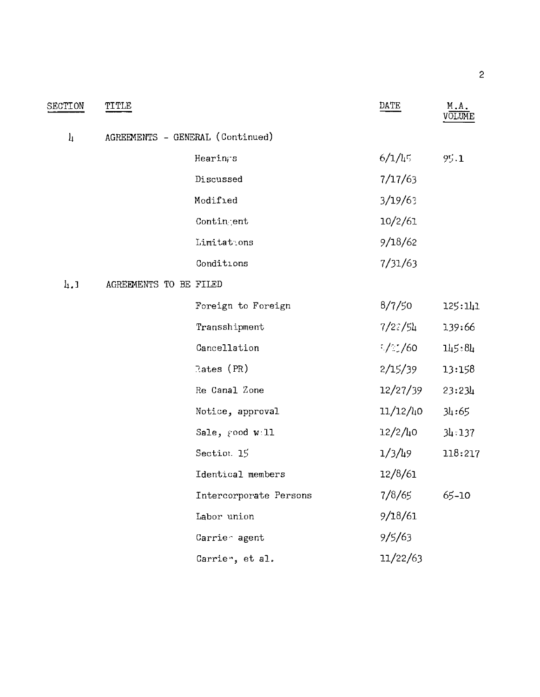| SECTION       | TITLE                            |                        | DATE              | M.A.<br>VOLUME |
|---------------|----------------------------------|------------------------|-------------------|----------------|
| $\frac{1}{2}$ | AGREEMENTS - GENERAL (Continued) |                        |                   |                |
|               |                                  | Hearings               | 6/1/45            | 9.1            |
|               |                                  | Discussed              | 7/17/63           |                |
|               |                                  | Modified               | 3/19/6            |                |
|               |                                  | Contingent             | 10/2/61           |                |
|               |                                  | Limitat.ons            | 9/18/62           |                |
|               |                                  | Conditions             | 7/31/63           |                |
| h, J          | AGREEMENTS TO BE FILED           |                        |                   |                |
|               |                                  | Foreign to Foreign     | 8/7/50            | 125:141        |
|               |                                  | Transshipment          | 7/27/54           | 139:66         |
|               |                                  | Cancellation           | $\frac{1}{2}$ /60 | 145:84         |
|               |                                  | Rates $(PR)$           | 2/15/39           | 13:158         |
|               |                                  | Re Canal Zone          | 12/27/39          | 23:234         |
|               |                                  | Notice, approval       | 11/12/40          | 34:65          |
|               |                                  | Sale, rood w 11        | $12/2/l_10$       | 34:137         |
|               |                                  | Section. 15            | 1/3/49            | 118:217        |
|               |                                  | Identical members      | 12/8/61           |                |
|               |                                  | Intercorporate Persons | 7/8/65            | 65-10          |
|               |                                  | Labor union            | 9/18/61           |                |
|               |                                  | Carrie agent           | 9/5/63            |                |
|               |                                  | Carrie", et al.        | 11/22/63          |                |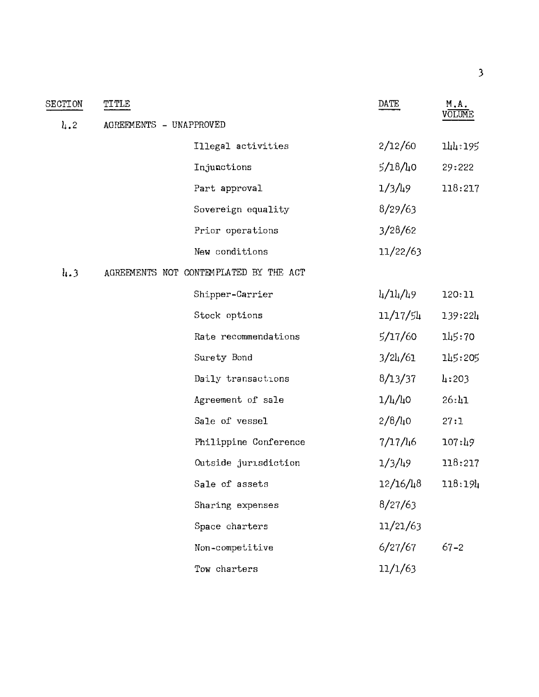| SECTION                     | TITLE                                  | DATE              | M.A.<br>VOLUME |
|-----------------------------|----------------------------------------|-------------------|----------------|
| $l_1$ , 2                   | AGREEMENTS - UNAPPROVED                |                   |                |
|                             | Illegal activities                     | 2/12/60           | 144:195        |
|                             | Injunctions                            | $5/18/l_1$ 0      | 29:222         |
|                             | Part approval                          | 1/3/49            | 118:217        |
|                             | Sovereign equality                     | 8/29/63           |                |
|                             | Prior operations                       | 3/28/62           |                |
|                             | New conditions                         | 11/22/63          |                |
| $\mathbf{h}$ , $\mathbf{3}$ | AGREEMENTS NOT CONTEMPLATED BY THE ACT |                   |                |
|                             | Shipper-Carrier                        | 4/14/49           | 120:11         |
|                             | Stock options                          | 11/17/54          | 139:224        |
|                             | Rate recommendations                   | 5/17/60           | 145:70         |
|                             | Surety Bond                            | 3/24/61           | 145:205        |
|                             | Daily transactions                     | 8/13/37           | 4:203          |
|                             | Agreement of sale                      | $1/\frac{1}{4}$ 0 | 26:41          |
|                             | Sale of vessel                         | 2/8/40            | 27:1           |
|                             | Philippine Conference                  | 7/17/46           | 107:49         |
|                             | Outside jurisdiction                   | 1/3/49            | 118:217        |
|                             | Sale of assets                         | 12/16/48          | 118:194        |
|                             | Sharing expenses                       | 8/27/63           |                |
|                             | Space charters                         | 11/21/63          |                |
|                             | Non-competitive                        | 6/27/67           | $67 - 2$       |
|                             | Tow charters                           | 11/1/63           |                |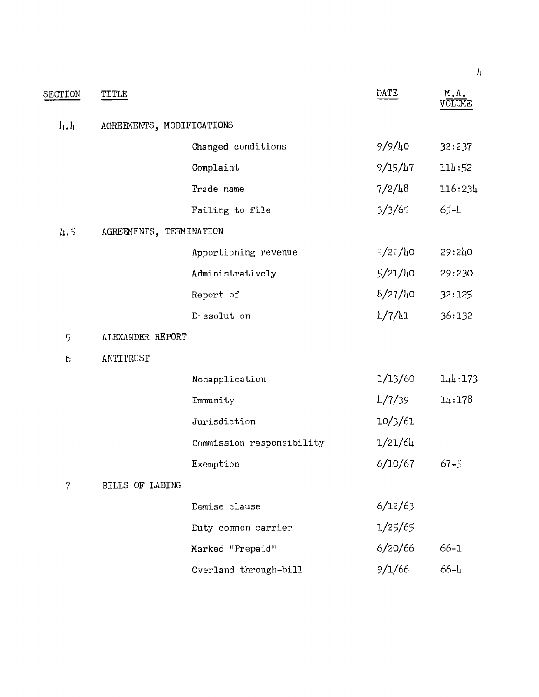|                 |                           |                           |         | $\boldsymbol{\mu}$ |
|-----------------|---------------------------|---------------------------|---------|--------------------|
| SECTION         | TITLE                     |                           | DATE    | M.A.<br>VOLUM      |
| $\frac{1}{4}$ . | AGREEMENTS, MODIFICATIONS |                           |         |                    |
|                 |                           | Changed conditions        | 9/9/40  | 32:237             |
|                 |                           | Complaint                 | 9/15/47 | 114:52             |
|                 |                           | Trade name                | 7/2/48  | 116:23h            |
|                 |                           | Failing to file           | 3/3/65  | $65 - 1$           |
| $\mathbf{h}$ =  | AGREEMENTS, TERMINATION   |                           |         |                    |
|                 |                           | Apportioning revenue      | 5/27/h0 | 29:240             |
|                 |                           | Administratively          | 5/21/40 | 29:230             |
|                 |                           | Report of                 | 8/27/40 | 32:125             |
|                 |                           | D-ssolution               | 4/7/41  | 36:132             |
| $\mathbb{S}$    | ALEXANDER REPORT          |                           |         |                    |
| 6               | ANTITRUST                 |                           |         |                    |
|                 |                           | Nonapplication            | 1/13/60 | 114:173            |
|                 |                           | Immunity                  | 4/7/39  | 14:178             |
|                 |                           | Jurisdiction              | 10/3/61 |                    |
|                 |                           | Commission responsibility | 1/21/64 |                    |
|                 |                           | Exemption                 | 6/10/67 | $67 - 5$           |
| 7               | BILLS OF LADING           |                           |         |                    |
|                 |                           | Demise clause             | 6/12/63 |                    |
|                 |                           | Duty common carrier       | 1/25/65 |                    |
|                 |                           | Marked "Prepaid"          | 6/20/66 | $66 - 1$           |
|                 |                           | Overland through-bill     | 9/1/66  | $66 - 1$           |
|                 |                           |                           |         |                    |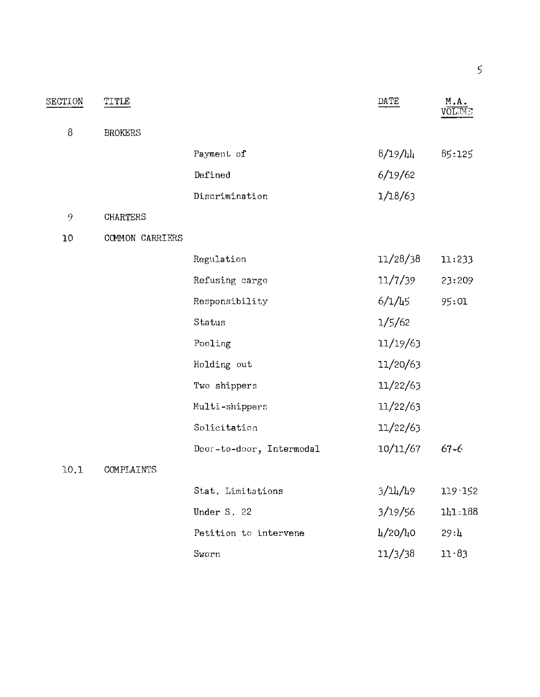| SECTION | TITLE           |                          | DATE       | M.A.<br>VOLTIC |
|---------|-----------------|--------------------------|------------|----------------|
| 8       | <b>BROKERS</b>  |                          |            |                |
|         |                 | Payment of               | 8/19/44    | 85:125         |
|         |                 | Defined                  | 6/19/62    |                |
|         |                 | Discrimination           | 1/18/63    |                |
| 9       | <b>CHARTERS</b> |                          |            |                |
| 10      | COMMON CARRIERS |                          |            |                |
|         |                 | Regulation               | 11/28/38   | 11:233         |
|         |                 | Refusing cargo           | 11/7/39    | 23:209         |
|         |                 | Responsibility           | $6/1/l_15$ | 95:01          |
|         |                 | Status                   | 1/5/62     |                |
|         |                 | Pooling                  | 11/19/63   |                |
|         |                 | Holding out              | 11/20/63   |                |
|         |                 | Two shippers             | 11/22/63   |                |
|         |                 | Multi-shippers           | 11/22/63   |                |
|         |                 | Solicitation             | 11/22/63   |                |
|         |                 | Door-to-door, Intermodal | 10/11/67   | $67 - 6$       |
| 10.1    | COMPLAINTS      |                          |            |                |
|         |                 | Stat. Limitations        | 3/14/49    | 119 152        |
|         |                 | Under S. 22              | 3/19/56    | 141.188        |
|         |                 | Petition to intervene    | 4/20/40    | 29:4           |
|         |                 | Sworn                    | 11/3/38    | $11 - 83$      |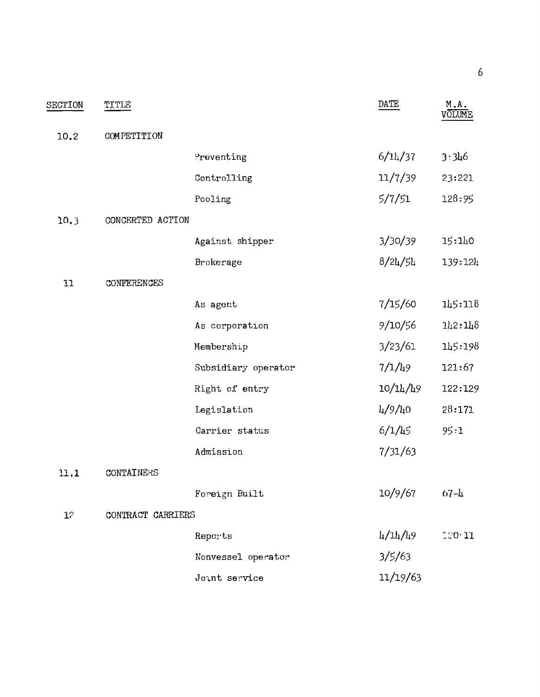| SECTION   | TITLE             |                     | DATE                                            | M.A.<br>VOLUME |
|-----------|-------------------|---------------------|-------------------------------------------------|----------------|
| 10.2      | COMPETITION       |                     |                                                 |                |
|           |                   | Preventing          | 6/11/37                                         | 3:346          |
|           |                   |                     |                                                 |                |
|           |                   | Controlling         | 11/7/39                                         | 23:221         |
|           |                   | Pooling             | 5/7/51                                          | 128:95         |
| 10.3      | CONCERTED ACTION  |                     |                                                 |                |
|           |                   | Against shipper     | 3/30/39                                         | 15:140         |
|           |                   | Brokerage           | 8/24/54                                         | 139:124        |
| 11        | CONFERENCES       |                     |                                                 |                |
|           |                   | As agent            | 7/15/60                                         | 145:118        |
|           |                   | As corporation      | 9/10/56                                         | 112:118        |
|           |                   | Membership          | 3/23/61                                         | 145:198        |
|           |                   | Subsidiary operator | 7/1/49                                          | 121:67         |
|           |                   | Right of entry      | 10/14/49                                        | 122:129        |
|           |                   | Legislation         | 4/9/40                                          | 28:171         |
|           |                   | Carrier status      | 6/1/45                                          | 95:1           |
|           |                   | Admission           | 7/31/63                                         |                |
| 11.1      | CONTAINERS        |                     |                                                 |                |
|           |                   | Foreign Built       | 10/9/67                                         | $67 - h$       |
| $1^\circ$ | CONTRACT CARRIERS |                     |                                                 |                |
|           |                   | Reports             | $\frac{1}{4}$ / $\frac{1}{4}$ / $\frac{1}{4}$ 9 | 120 11         |
|           |                   | Nonvessel operator  | 3/5/63                                          |                |
|           |                   | Joint service       | 11/19/63                                        |                |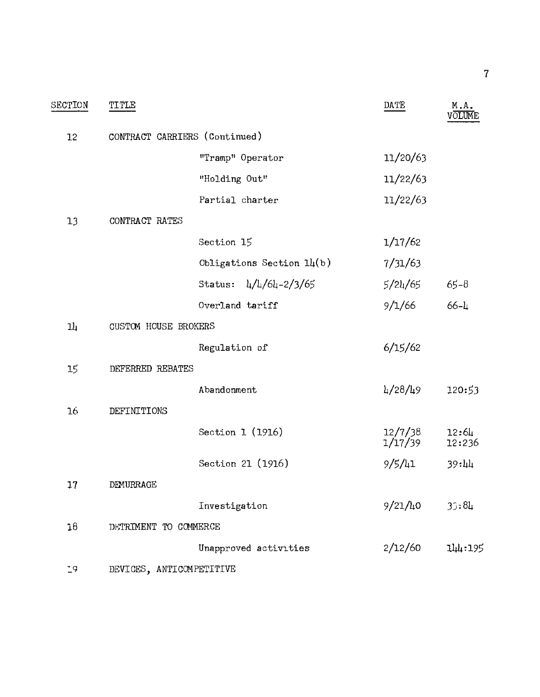| SECTION | TITLE                    |                               | DATE               | M.A.<br><b>JOLUME</b>       |
|---------|--------------------------|-------------------------------|--------------------|-----------------------------|
| 12      |                          | CONTRACT CARRIERS (Continued) |                    |                             |
|         |                          | "Tramp" Operator              | 11/20/63           |                             |
|         |                          | "Holding Out"                 | 11/22/63           |                             |
|         |                          | Partial charter               | 11/22/63           |                             |
| 13      | CONTRACT RATES           |                               |                    |                             |
|         |                          | Section 15                    | 1/17/62            |                             |
|         |                          | Obligations Section $1\mu(b)$ | 7/31/63            |                             |
|         |                          | 4/4/64-2/3/65<br>Status:      | 5/24/65            | $65 - 8$                    |
|         |                          | Overland tariff               | 9/1/66             | $66 - 4$                    |
| 14      | CUSTOM HOUSE BROKERS     |                               |                    |                             |
|         |                          | Regulation of                 | 6/15/62            |                             |
| 15      | DEFERRED REBATES         |                               |                    |                             |
|         |                          | Abandonment                   | 4/28/49            | 120:53                      |
| 16      | DEFINITIONS              |                               |                    |                             |
|         |                          | Section 1 (1916)              | 12/7/38<br>1/17/39 | 12:6 <sub>4</sub><br>12:236 |
|         |                          | Section 21 (1916)             | 9/5/41             | 39:11                       |
| 17      | DEMURRAGE                |                               |                    |                             |
|         |                          | Investigation                 | 9/21/h0            | 33:84                       |
| 18      | DETRIMENT TO COMMERCE    |                               |                    |                             |
|         |                          | Unapproved activities         | 2/12/60            | 144:195                     |
| 79      | DEVICES, ANTICOMPETITIVE |                               |                    |                             |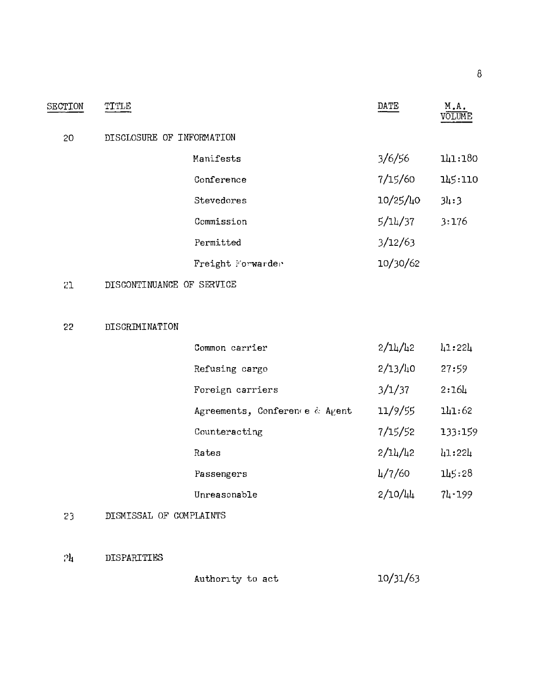| SECTION | TITLE                     |                   | DATE     | M.A.    |
|---------|---------------------------|-------------------|----------|---------|
| 20      | DISCLOSURE OF INFORMATION |                   |          |         |
|         |                           | Manifests         | 3/6/56   | 141:180 |
|         |                           | Conference        | 7/15/60  | 145:110 |
|         |                           | Stevedores        | 10/25/40 | 34:3    |
|         |                           | Commission        | 5/14/37  | 3:176   |
|         |                           | Permitted         | 3/12/63  |         |
|         |                           | Freight Forwarder | 10/30/62 |         |
|         |                           |                   |          |         |

# 21 DISCONTINUANCE OF SERVICE

#### 22 DISCRIMINATION

| Common carrier                 | 2/14/42 | 41:224     |
|--------------------------------|---------|------------|
| Refusing cargo                 | 2/13/h0 | 27:59      |
| Foreign carriers               | 3/1/37  | 2:16L      |
| Agreements, Conference & Agent | 11/9/55 | 141:62     |
| Counteracting                  | 7/15/52 | 133:159    |
| Rates                          | 2/14/42 | 41:224     |
| Passengers                     | 4/7/60  | 145:28     |
| Unreasonable                   | 2/10/44 | $71 - 199$ |

#### 23 DISMISSAL OF COMPLAINTS

#### ?h DISPARITIES

Authority to act 10/31/63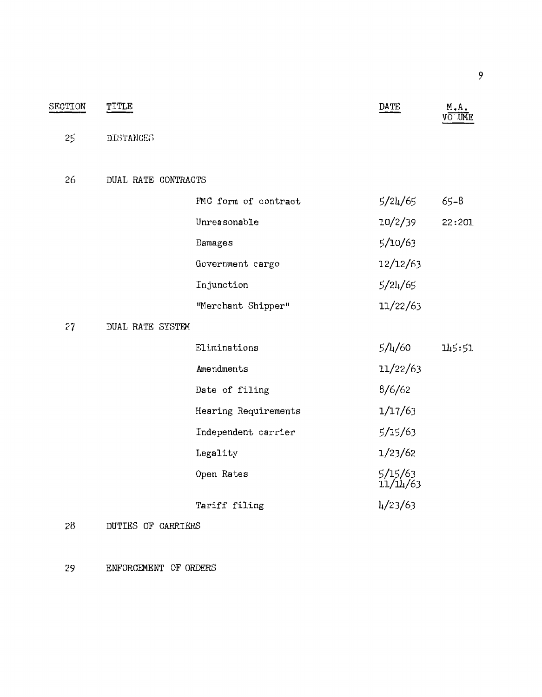| SECTION | TITLE               |                      | DATE                | M.A.<br>VO UME |
|---------|---------------------|----------------------|---------------------|----------------|
| 25      | <b>DISTANCES</b>    |                      |                     |                |
| 26      | DUAL RATE CONTRACTS |                      |                     |                |
|         |                     | FMC form of contract | 5/24/65             | $65 - 8$       |
|         |                     | Unreasonable         | 10/2/39             | 22:201         |
|         |                     | Damages              | 5/10/63             |                |
|         |                     | Government cargo     | 12/12/63            |                |
|         |                     | Injunction           | 5/24/65             |                |
|         |                     | "Merchant Shipper"   | 11/22/63            |                |
| 27      | DUAL RATE SYSTEM    |                      |                     |                |
|         |                     | Eliminations         | 5/4/60              | 145:51         |
|         |                     | Amendments           | 11/22/63            |                |
|         |                     | Date of filing       | 8/6/62              |                |
|         |                     | Hearing Requirements | 1/17/63             |                |
|         |                     | Independent carrier  | 5/15/63             |                |
|         |                     | Legality             | 1/23/62             |                |
|         |                     | Open Rates           | 5/15/63<br>11/14/63 |                |
|         |                     | Tariff filing        | $\frac{1}{2}$ /63   |                |
| 28      | DUTIES OF CARRIERS  |                      |                     |                |

29 ENFORCEMENT OF ORDERS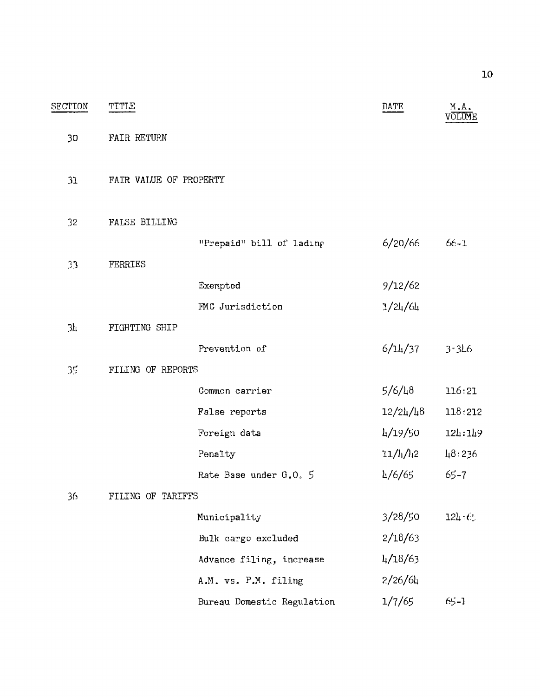| SECTION | TITLE                  |                            | DATE                              | M.A.<br>VŌLUME |
|---------|------------------------|----------------------------|-----------------------------------|----------------|
| 30      | FAIR RETURN            |                            |                                   |                |
| 31      | FAIR VALUE OF PROPERTY |                            |                                   |                |
| 32      | <b>FALSE BILLING</b>   |                            |                                   |                |
|         |                        | "Prepaid" bill of lading   | 6/20/66                           | $66 - 1$       |
| 33      | FERRIES                |                            |                                   |                |
|         |                        | Exempted                   | 9/12/62                           |                |
|         |                        | FMC Jurisdiction           | 1/24/64                           |                |
| 3h      | FIGHTING SHIP          |                            |                                   |                |
|         |                        | Prevention of              | 6/14/37                           | 3.346          |
| 35      | FILING OF REPORTS      |                            |                                   |                |
|         |                        | Common carrier             | 5/6/48                            | 116:21         |
|         |                        | False reports              | 12/24/l <sub>4</sub> 8            | 118:212        |
|         |                        | Foreign data               | 4/19/50                           | 124:149        |
|         |                        | Penalty                    | 11/l <sub>4</sub> /l <sub>4</sub> | 48:236         |
|         |                        | Rate Base under G.O. 5     | 4/6/65                            | $65 - 7$       |
| 36      | FILING OF TARIFFS      |                            |                                   |                |
|         |                        | Municipality               | 3/28/50                           | 124:65         |
|         |                        | Bulk cargo excluded        | 2/18/63                           |                |
|         |                        | Advance filing, increase   | 4/18/63                           |                |
|         |                        | A.M. vs. P.M. filing       | 2/26/64                           |                |
|         |                        | Bureau Domestic Regulation | 1/7/65                            | $65 - 1$       |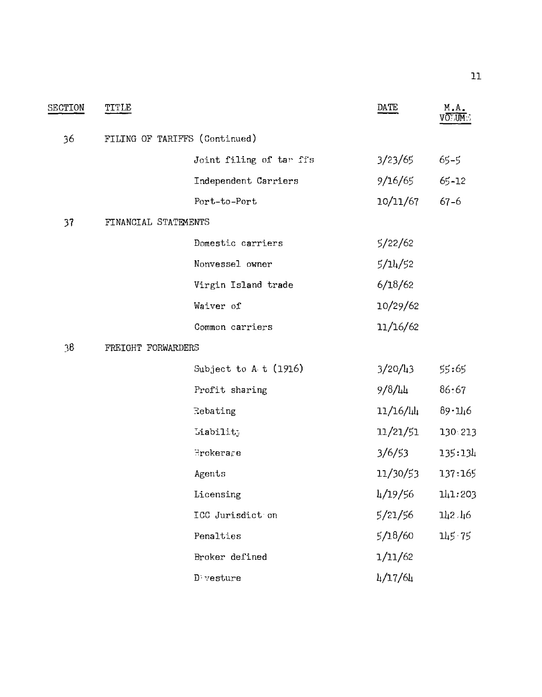| SECTION | TITLE                         |                               | DATE     | M.A.<br>v <del>o∵um</del> ∵ |
|---------|-------------------------------|-------------------------------|----------|-----------------------------|
| 36      | FILING OF TARIFFS (Continued) |                               |          |                             |
|         |                               | Joint filing of tar ffs       | 3/23/65  | $65 - 5$                    |
|         |                               | Independent Carriers          | 9/16/65  | 65-12                       |
|         |                               | Port-to-Port                  | 10/11/67 | $67 - 6$                    |
| 37      | FINANCIAL STATEMENTS          |                               |          |                             |
|         |                               | Domestic carriers             | 5/22/62  |                             |
|         |                               | Nonvessel owner               | 5/14/52  |                             |
|         |                               | Virgin Island trade           | 6/18/62  |                             |
|         |                               | Waiver of                     | 10/29/62 |                             |
|         |                               | Common carriers               | 11/16/62 |                             |
| 36      | FREIGHT FORWARDERS            |                               |          |                             |
|         |                               | Subject to $A$ t (1916)       | 3/20/43  | 55:65                       |
|         |                               | Profit sharing                | 9/8/44   | 86:67                       |
|         |                               | Rebating                      | 11/16/Щ  | 89.146                      |
|         |                               | Liability                     | 11/21/51 | 130 213                     |
|         |                               | $\exists$ rokera $\epsilon$ e | 3/6/53   | 135:134                     |
|         |                               | Agents                        | 11/30/53 | 137:165                     |
|         |                               | Licensing                     | 4/19/56  | 141:203                     |
|         |                               | ICC Jurisdict on              | 5/21/56  | 142.46                      |
|         |                               | Penalties                     | 5/18/60  | 145.75                      |
|         |                               | Broker defined                | 1/11/62  |                             |
|         |                               | $D$ vesture                   | 4/17/64  |                             |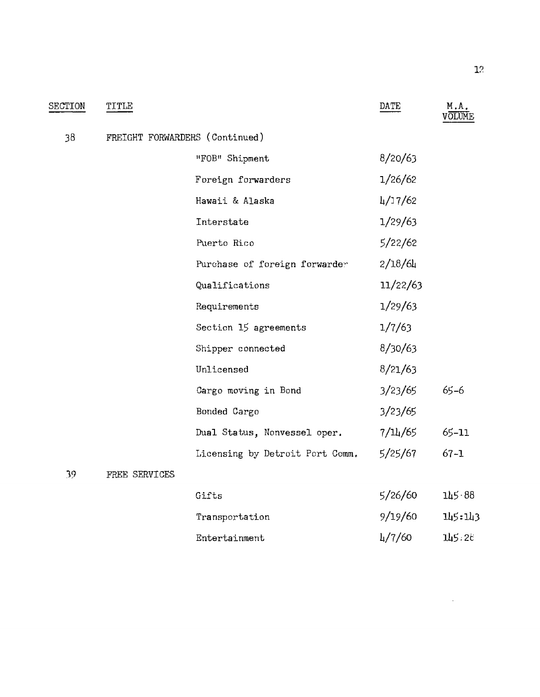| SECTION | TITLE         |                                 | DATE     | M.A.     |
|---------|---------------|---------------------------------|----------|----------|
| 38      |               | FREIGHT FORWARDERS (Continued)  |          |          |
|         |               | "FOB" Shipment                  | 8/20/63  |          |
|         |               | Foreign forwarders              | 1/26/62  |          |
|         |               | Hawaii & Alaska                 | 4/17/62  |          |
|         |               | Interstate                      | 1/29/63  |          |
|         |               | Puerto Rico                     | 5/22/62  |          |
|         |               | Purchase of foreign forwarder   | 2/18/64  |          |
|         |               | Qualifications                  | 11/22/63 |          |
|         |               | Requirements                    | 1/29/63  |          |
|         |               | Section 15 agreements           | 1/7/63   |          |
|         |               | Shipper connected               | 8/30/63  |          |
|         |               | Unlicensed                      | 8/21/63  |          |
|         |               | Cargo moving in Bond            | 3/23/65  | $65 - 6$ |
|         |               | Bonded Cargo                    | 3/23/65  |          |
|         |               | Dual Status, Nonvessel oper.    | 7/14/65  | 65-11    |
|         |               | Licensing by Detroit Port Comm. | 5/25/67  | $67 - 1$ |
| 39.     | FREE SERVICES |                                 |          |          |
|         |               | Gifts                           | 5/26/60  | 145 88   |
|         |               | Transportation                  | 9/19/60  | 145:143  |

| $+1$ and $-1$ and $-1$ | $21 - 21 = 2$       | ----   |
|------------------------|---------------------|--------|
| Entertainment          | $\frac{1}{4}$ /7/60 | 145:28 |

 $\mathcal{L}^{\text{max}}_{\text{max}}$  ,  $\mathcal{L}^{\text{max}}_{\text{max}}$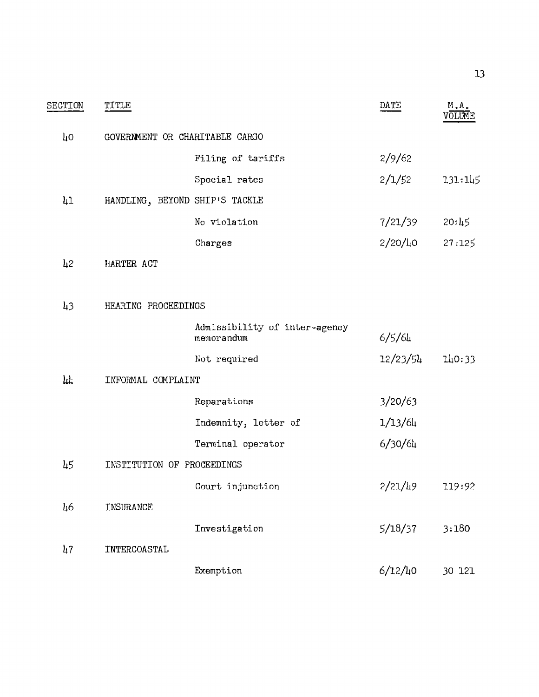| SECTION         | TITLE                          |                                             | DATE        | M.A.<br>VOLUME |
|-----------------|--------------------------------|---------------------------------------------|-------------|----------------|
| ŢО              | GOVERNMENT OR CHARITABLE CARGO |                                             |             |                |
|                 |                                | Filing of tariffs                           | 2/9/62      |                |
|                 |                                | Special rates                               | 2/1/52      | 131:145        |
| $\overline{11}$ | HANDLING, BEYOND SHIP'S TACKLE |                                             |             |                |
|                 |                                | No violation                                | 7/21/39     | 20:45          |
|                 |                                | Charges                                     | $2/20/l_10$ | 27:125         |
| 12              | HARTER ACT                     |                                             |             |                |
|                 |                                |                                             |             |                |
| $\mu$ 3         | HEARING PROCEEDINGS            |                                             |             |                |
|                 |                                | Admissibility of inter-agency<br>memorandum | 6/5/64      |                |
|                 |                                | Not required                                | 12/23/54    | 140:33         |
| hL,             | INFORMAL COMPLAINT             |                                             |             |                |
|                 |                                | Reparations                                 | 3/20/63     |                |
|                 |                                | Indemnity, letter of                        | 1/13/64     |                |
|                 |                                | Terminal operator                           | 6/30/64     |                |
| 45              | INSTITUTION OF PROCEEDINGS     |                                             |             |                |
|                 |                                | Court injunction                            | $2/21/l_19$ | 119:92         |
| 46              | INSURANCE                      |                                             |             |                |
|                 |                                | Investigation                               | 5/18/37     | 3:180          |
| 47              | INTERCOASTAL                   |                                             |             |                |
|                 |                                | Exemption                                   | $6/12/l_10$ | 30 121         |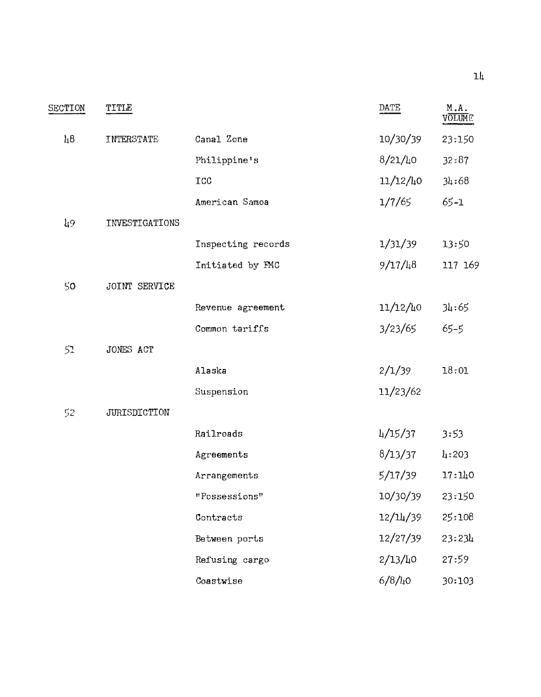| SECTION | TITLE          |                    | DATE        | M.A.<br>VOLUME |
|---------|----------------|--------------------|-------------|----------------|
| $\mu$ 8 | INTERSTATE     | Canal Zone         | 10/30/39    | 23:150         |
|         |                | Philippine's       | $8/21/l_10$ | 32:87          |
|         |                | <b>TCC</b>         | 11/12/40    | 34:68          |
|         |                | American Samoa     | 1/7/65      | $65 - 1$       |
| $\mu$ 9 | INVESTIGATIONS |                    |             |                |
|         |                | Inspecting records | 1/31/39     | 13:50          |
|         |                | Initiated by FMC   | 9/17/48     | 117 169        |
| 50      | JOINT SERVICE  |                    |             |                |
|         |                | Revenue agreement  | 11/12/40    | 34:65          |
|         |                | Common tariffs     | 3/23/65     | $65 - 5$       |
| 52      | JONES ACT      |                    |             |                |
|         |                | Alaska             | 2/1/39      | 18:01          |
|         |                | Suspension         | 11/23/62    |                |
| 52      | JURISDICTION   |                    |             |                |
|         |                | Railroads          | 4/15/37     | 3:53           |
|         |                | Agreements         | 8/13/37     | 4:203          |
|         |                | Arrangements       | 5/17/39     | 17:140         |
|         |                | "Possessions"      | 10/30/39    | 23:150         |
|         |                | Contracts          | 12/14/39    | 25:108         |
|         |                | Between ports      | 12/27/39    | 23:234         |
|         |                | Refusing cargo     | $2/13/l_10$ | 27:59          |
|         |                | Coastwise          | $6/8/\mu$ o | 30:103         |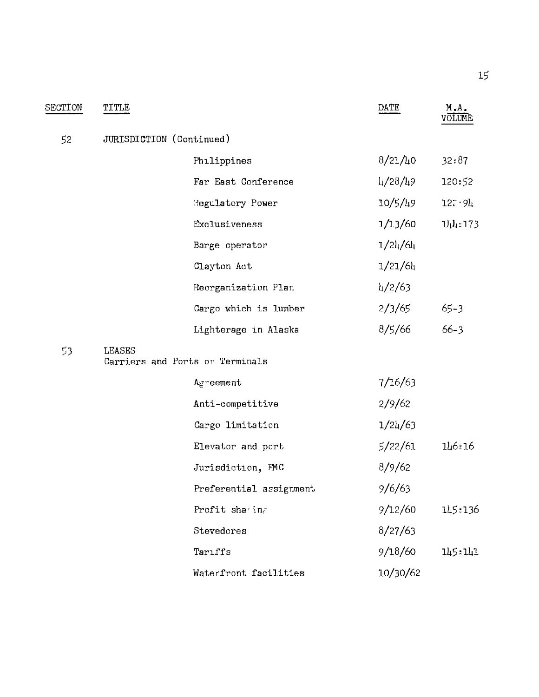| SECTION | <b>TITLE</b>  |                                 | DATE              | M.A.<br>VÖLUME |
|---------|---------------|---------------------------------|-------------------|----------------|
| 52      |               | JURISDICTION (Continued)        |                   |                |
|         |               | Philippines                     | $8/21/l_10$       | 32:87          |
|         |               | Far East Conference             | $\frac{1}{28/19}$ | 120:52         |
|         |               | <b>Regulatory Power</b>         | 10/5/49           | 127.94         |
|         |               | Exclusiveness                   | 1/13/60           | 144:173        |
|         |               | Barge operator                  | 1/24/64           |                |
|         |               | Clayton Act                     | 1/21/64           |                |
|         |               | Reorganization Plan             | $\frac{1}{2}$ /63 |                |
|         |               | Cargo which is lumber           | 2/3/65            | $65 - 3$       |
|         |               | Lighterage in Alaska            | 8/5/66            | $66 - 3$       |
| 53.     | <b>LEASES</b> | Carriers and Ports or Terminals |                   |                |
|         |               | Agreement                       | 7/16/63           |                |
|         |               | Anti-competitive                | 2/9/62            |                |
|         |               | Cargo limitation                | 1/24/63           |                |
|         |               | Elevator and port               | 5/22/61           | 146:16         |
|         |               | Jurisdiction, FMC               | 8/9/62            |                |
|         |               | Preferential assignment         | 9/6/63            |                |
|         |               | Profit sha ing                  | 9/12/60           | 145:136        |
|         |               | Stevedores                      | 8/27/63           |                |
|         |               | Tariffs                         | 9/18/60           | 145:141        |
|         |               | Waterfront facilities           | 10/30/62          |                |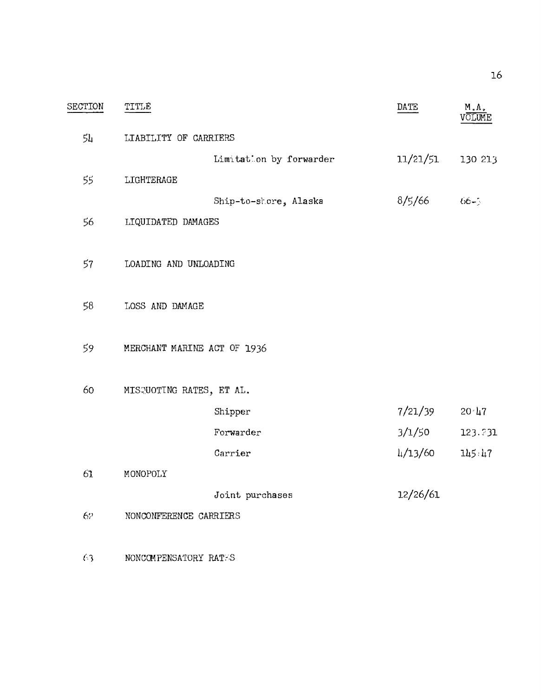| SECTION | TITLE                       |                         | DATE                 | М.А.              |
|---------|-----------------------------|-------------------------|----------------------|-------------------|
| 54      | LIABILITY OF CARRIERS       |                         |                      |                   |
|         |                             | Limitation by forwarder | 11/21/51             | 130 213           |
| 55      | LIGHTERAGE                  |                         |                      |                   |
|         |                             | Ship-to-shore, Alaska   | 8/5/66               | $66 - 1$          |
| 56      | LIQUIDATED DAMAGES          |                         |                      |                   |
|         |                             |                         |                      |                   |
| 57      | LOADING AND UNLOADING       |                         |                      |                   |
|         |                             |                         |                      |                   |
| 58      | LOSS AND DAMAGE             |                         |                      |                   |
|         |                             |                         |                      |                   |
| 59      | MERCHANT MARINE ACT OF 1936 |                         |                      |                   |
|         |                             |                         |                      |                   |
| 60      | MISQUOTING RATES, ET AL.    |                         |                      |                   |
|         |                             | Shipper                 | 7/21/39              | $20 \frac{17}{3}$ |
|         |                             | Forwarder               | 3/1/50               | 123 731           |
|         |                             | Carrier                 | $\frac{1}{4}$ /13/60 | 145:47            |
| 61      | MONOPOLY                    |                         |                      |                   |
|         |                             | Joint purchases         | 12/26/61             |                   |
| 62      | NONCONFERENCE CARRIERS      |                         |                      |                   |
|         |                             |                         |                      |                   |
| 63      | NONCOMPENSATORY RATES       |                         |                      |                   |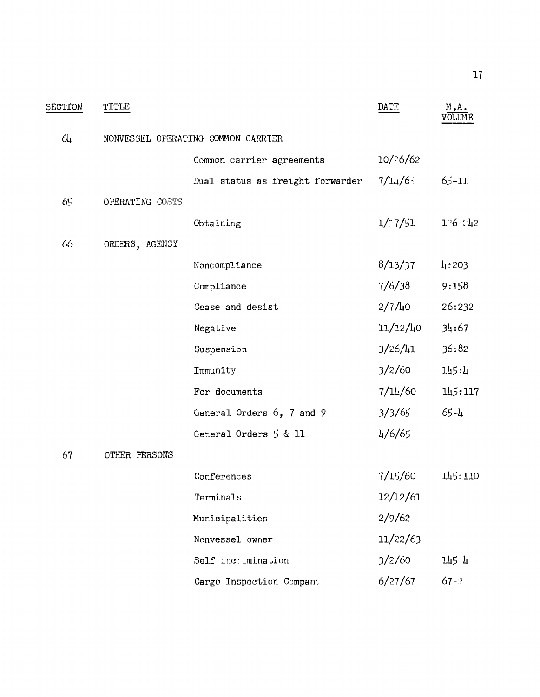| SECTION | TITLE           |                                    | DATE.         | M.A.<br><b>JOLUME</b> |
|---------|-----------------|------------------------------------|---------------|-----------------------|
| 64      |                 | NONVESSEL OPERATING COMMON CARRIER |               |                       |
|         |                 | Common carrier agreements          | 10/26/62      |                       |
|         |                 | Dual status as freight forwarder   | 7/11/65       | 65-11                 |
| 65      | OPERATING COSTS |                                    |               |                       |
|         |                 | Obtaining                          | 1/7/51        | 176.742               |
| 66      | ORDERS, AGENCY  |                                    |               |                       |
|         |                 | Noncompliance                      | 8/13/37       | 4:203                 |
|         |                 | Compliance                         | 7/6/38        | 9:158                 |
|         |                 | Cease and desist                   | $2/7/l_10$    | 26:232                |
|         |                 | Negative                           | 11/12/40      | 34:67                 |
|         |                 | Suspension                         | $3/26/l_1$    | 36:82                 |
|         |                 | Immunity                           | 3/2/60        | 145:4                 |
|         |                 | For documents                      | 7/L4/60       | 145:117               |
|         |                 | General Orders 6, 7 and 9          | 3/3/65        | $65 - 4$              |
|         |                 | General Orders 5 & 11              | $\frac{1}{6}$ |                       |
| 67      | OTHER PERSONS   |                                    |               |                       |
|         |                 | Conferences                        | 7/15/60       | 145:110               |
|         |                 | Terminals                          | 12/12/61      |                       |
|         |                 | Municipalities                     | 2/9/62        |                       |
|         |                 | Nonvessel owner                    | 11/22/63      |                       |
|         |                 | Self inctimination                 | 3/2/60        | 145 4                 |
|         |                 | Cargo Inspection Company           | 6/27/67       | $67 - ?$              |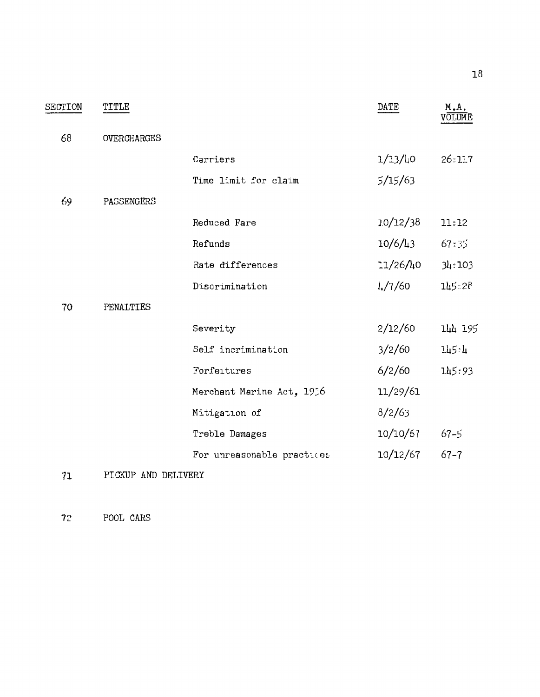| SECTION | TITLE               |                            | DATE        | M.A.     |
|---------|---------------------|----------------------------|-------------|----------|
| 68      | OVERCHARGES         |                            |             |          |
|         |                     | Carriers                   | 1/13/10     | 26:117   |
|         |                     | Time limit for claim       | 5/15/63     |          |
| 69      | PASSENGERS          |                            |             |          |
|         |                     | Reduced Fare               | 10/12/38    | 11:12    |
|         |                     | Refunds                    | $10/6/l_13$ | 67:35    |
|         |                     | Rate differences           | $1/26/l_10$ | 34:103   |
|         |                     | Discrimination             | 1/7/60      | 145:20   |
| 70      | PENALTIES           |                            |             |          |
|         |                     | Severity                   | 2/12/60     | 144 195  |
|         |                     | Self incrimination         | 3/2/60      | 145:4    |
|         |                     | Forfeitures                | 6/2/60      | 145:93   |
|         |                     | Merchant Marine Act, 1956  | 11/29/61    |          |
|         |                     | Mitigation of              | 8/2/63      |          |
|         |                     | Treble Damages             | 10/10/67    | $67 - 5$ |
|         |                     | For unreasonable practices | 10/12/67    | $67 - 7$ |
| 71      | PICKUP AND DELIVERY |                            |             |          |

72 POOL CARS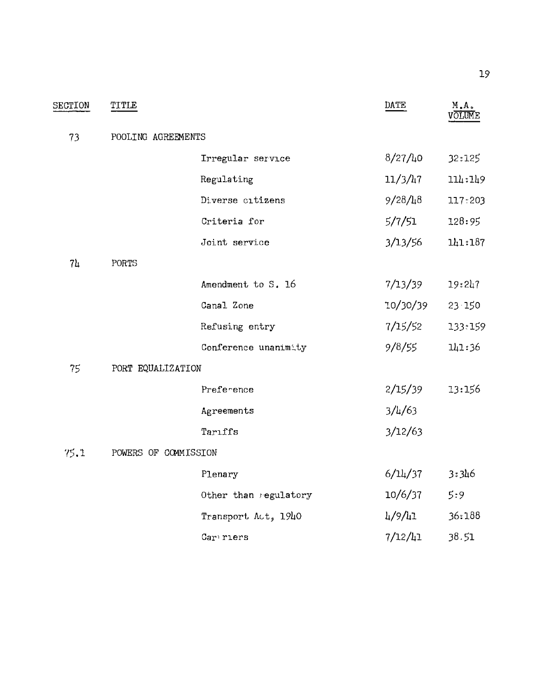| SECTION        | TITLE                |                       | DATE             | M.A.<br><b>OLUME</b> |
|----------------|----------------------|-----------------------|------------------|----------------------|
| 73             | POOLING AGREEMENTS   |                       |                  |                      |
|                |                      | Irregular service     | 8/27/40          | 32:125               |
|                |                      | Regulating            | $11/3/l_17$      | 114:149              |
|                |                      | Diverse citizens      | $9/28/l_18$      | 117:203              |
|                |                      | Criteria for          | 5/7/51           | 128:95               |
|                |                      | Joint service         | 3/13/56          | 141:187              |
| 7 <sub>4</sub> | PORTS                |                       |                  |                      |
|                |                      | Amendment to S. 16    | 7/13/39          | 19:247               |
|                |                      | Canal Zone            | 10/30/39         | 23 150               |
|                |                      | Refusing entry        | 7/15/52          | 133:159              |
|                |                      | Conference unanimity  | 9/8/55           | 141:36               |
| 75             | PORT EQUALIZATION    |                       |                  |                      |
|                |                      | Preference            | 2/15/39          | 13:156               |
|                |                      | Agreements            | $3/\frac{1}{63}$ |                      |
|                |                      | Tarıffs               | 3/12/63          |                      |
| 75.1           | POWERS OF COMMISSION |                       |                  |                      |
|                |                      | Plenary               | 6/14/37          | 3:346                |
|                |                      | Other than regulatory | 10/6/37          | 5:9                  |
|                |                      | Transport Act, 1940   | 4/9/41           | 36:188               |
|                |                      | Car riers             | 7/12/41          | 38.51                |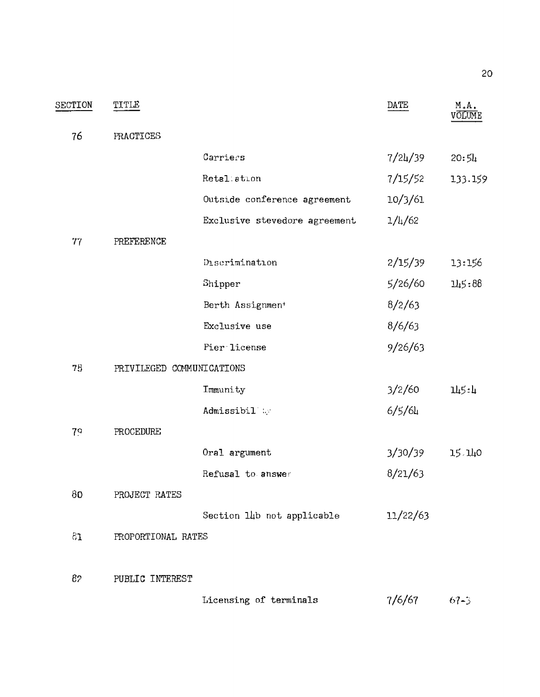| SECTION | TITLE                     |                               | DATE                 | M.A.<br>võľume |
|---------|---------------------------|-------------------------------|----------------------|----------------|
| 76      | PRACTICES                 |                               |                      |                |
|         |                           | Carriers                      | 7/24/39              | 20:54          |
|         |                           | Retal ation                   | 7/15/52              | 133.159        |
|         |                           | Outside conference agreement  | 10/3/61              |                |
|         |                           | Exclusive stevedore agreement | 1/l <sub>4</sub> /62 |                |
| 77      | PREFERENCE                |                               |                      |                |
|         |                           | Discrimination                | 2/15/39              | 13:156         |
|         |                           | Shipper                       | 5/26/60              | 145:88         |
|         |                           | Berth Assignmen <sup>+</sup>  | 8/2/63               |                |
|         |                           | Exclusive use                 | 8/6/63               |                |
|         |                           | Pier license                  | 9/26/63              |                |
| 78      | PRIVILEGED COMMUNICATIONS |                               |                      |                |
|         |                           | Immunity                      | 3/2/60               | 145:4          |
|         |                           | Admissibil                    | 6/5/64               |                |
| 79      | PROCEDURE                 |                               |                      |                |
|         |                           | Oral argument                 | 3/30/39              | 15.140         |
|         |                           | Refusal to answer             | 8/21/63              |                |
| 80      | PROJECT RATES             |                               |                      |                |
|         |                           | Section 14b not applicable    | 11/22/63             |                |
| 81      | PROPORTIONAL RATES        |                               |                      |                |
|         |                           |                               |                      |                |
| 82      | PUBLIC INTEREST           |                               |                      |                |
|         |                           | Licensing of terminals        | 7/6/67               | $67 - 5$       |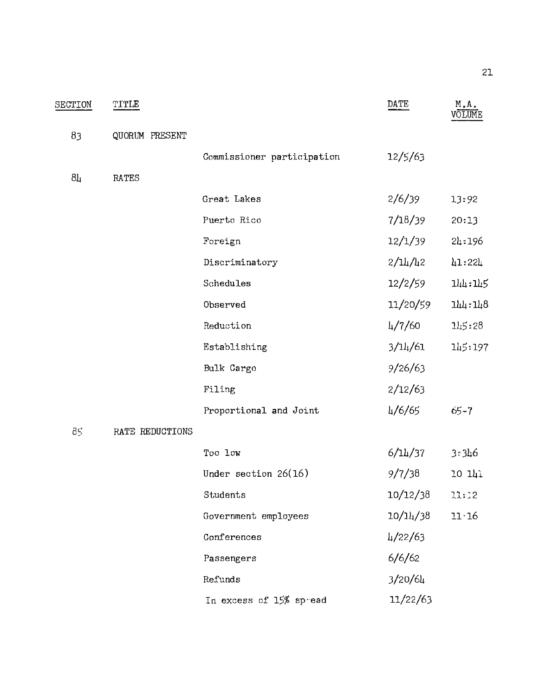| SECTION        | TITLE           |                            | DATE                            | $M$ .A.<br>VOLUME |
|----------------|-----------------|----------------------------|---------------------------------|-------------------|
| 83             | QUORUM PRESENT  |                            |                                 |                   |
|                |                 | Commissioner participation | 12/5/63                         |                   |
| 8 <sub>µ</sub> | <b>RATES</b>    |                            |                                 |                   |
|                |                 | Great Lakes                | 2/6/39                          | 13:92             |
|                |                 | Puerto Rico                | 7/18/39                         | 20:13             |
|                |                 | Foreign                    | 12/1/39                         | 24:196            |
|                |                 | Discriminatory             | $2/\frac{1}{4}$ / $\frac{1}{2}$ | 41:224            |
|                |                 | Schedules                  | 12/2/59                         | 144:145           |
|                |                 | Observed                   | 11/20/59                        | 144:148           |
|                |                 | Reduction                  | $\frac{1}{7}$ /60               | 145:28            |
|                |                 | Establishing               | 3/14/61                         | 145:197           |
|                |                 | Bulk Cargo                 | 9/26/63                         |                   |
|                |                 | Filing                     | 2/12/63                         |                   |
|                |                 | Proportional and Joint     | 4/6/65                          | $-65 - 7$         |
| 85             | RATE REDUCTIONS |                            |                                 |                   |
|                |                 | Too low                    | 6/14/37                         | 3:346             |
|                |                 | Under section $26(16)$     | 9/7/38                          | 10 141            |
|                |                 | Students                   | 10/12/38                        | 11:12             |
|                |                 | Government employees       | 10/14/38                        | $11 \cdot 16$     |
|                |                 | Conferences                | $\frac{1}{22/63}$               |                   |
|                |                 | Passengers                 | 6/6/62                          |                   |
|                |                 | Refunds                    | 3/20/64                         |                   |
|                |                 | In excess of 15% spread    | 11/22/63                        |                   |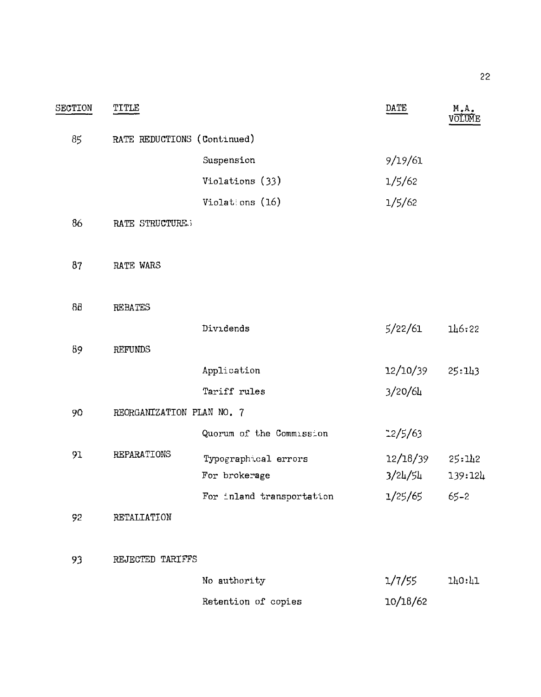| SECTION | TITLE                       |                           | DATE      | M.A.<br>volume |
|---------|-----------------------------|---------------------------|-----------|----------------|
| 85      | RATE REDUCTIONS (Continued) |                           |           |                |
|         |                             | Suspension                | 9/19/61   |                |
|         |                             | Violations (33)           | 1/5/62    |                |
|         |                             | Violations (16)           | 1/5/62    |                |
| 86      | RATE STRUCTURE 3            |                           |           |                |
| 87      | RATE WARS                   |                           |           |                |
| 88      | <b>REBATES</b>              |                           |           |                |
|         |                             | Dividends                 | 5/22/61   | 146:22         |
| 89      | <b>REFUNDS</b>              |                           |           |                |
|         |                             | Application               | 12/10/39  | 25:143         |
|         |                             | Tariff rules              | 3/20/64   |                |
| 90      | REORGANIZATION PLAN NO. 7   |                           |           |                |
|         |                             | Quorum of the Commission  | $-2/5/63$ |                |
| 91      | REPARATIONS                 | Typographical errors      | 12/18/39  | 25:112         |
|         |                             | For brokerage             | 3/24/54   | 139:124        |
|         |                             | For inland transportation | 1/25/65   | $65 - 2$       |
| 92      | RETALIATION                 |                           |           |                |
| 93      | REJECTED TARIFFS            |                           |           |                |
|         |                             | No authority              | 1/7/55    | 140:41         |
|         |                             | Retention of copies       | 10/18/62  |                |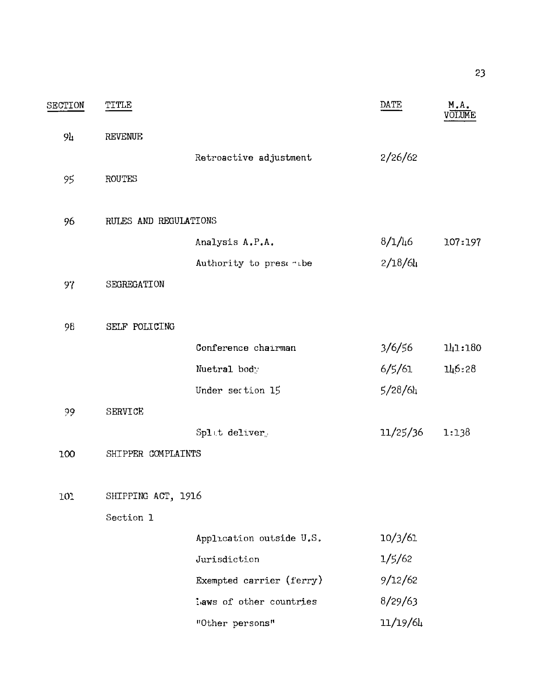| SECTION | TITLE                 |                          | DATE     | M.A.    |
|---------|-----------------------|--------------------------|----------|---------|
| 94      | <b>REVENUE</b>        |                          |          |         |
|         |                       | Retroactive adjustment   | 2/26/62  |         |
| 95      | <b>ROUTES</b>         |                          |          |         |
| 96      | RULES AND REGULATIONS |                          |          |         |
|         |                       | Analysis A.P.A.          | 8/1/46   | 107:197 |
|         |                       | Authority to prest -the  | 2/18/64  |         |
| 97      | SEGREGATION           |                          |          |         |
| 98      | SELF POLICING         |                          |          |         |
|         |                       | Conference chairman      | 3/6/56   | 141:180 |
|         |                       | Nuetral body             | 6/5/61   | 146:28  |
|         |                       | Under section 15         | 5/28/64  |         |
| 29      | SERVICE               |                          |          |         |
|         |                       | Splat deliver            | 11/25/36 | 1:138   |
| 100     | SHIPPER COMPLAINTS    |                          |          |         |
| 101     | SHIPPING ACT, 1916    |                          |          |         |
|         | Section 1             |                          |          |         |
|         |                       | Application outside U.S. | 10/3/61  |         |
|         |                       | Jurisdiction             | 1/5/62   |         |
|         |                       | Exempted carrier (ferry) | 9/12/62  |         |
|         |                       | laws of other countries  | 8/29/63  |         |
|         |                       | "Other persons"          | 11/19/64 |         |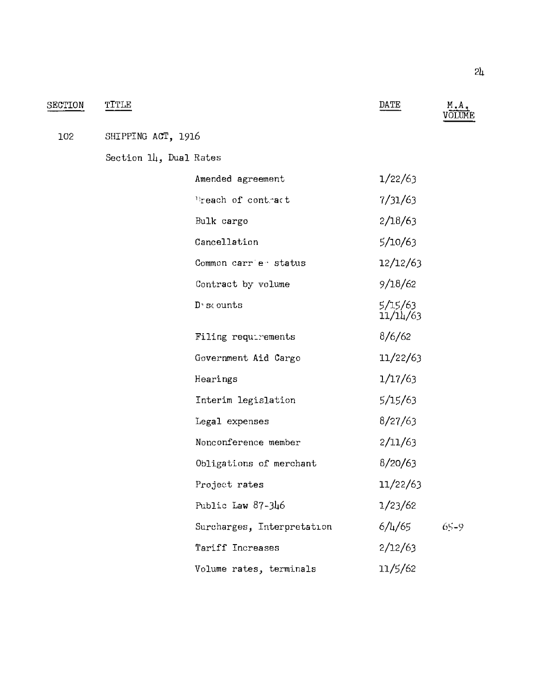| SECTION | TITLE                  |                            | DATE                | M.A.<br><b>/</b> OLUME |
|---------|------------------------|----------------------------|---------------------|------------------------|
| 102     | SHIPPING ACT, 1916     |                            |                     |                        |
|         | Section 14, Dual Rates |                            |                     |                        |
|         |                        | Amended agreement          | 1/22/63             |                        |
|         |                        | Preach of contract         | 7/31/63             |                        |
|         |                        | Bulk cargo                 | 2/18/63             |                        |
|         |                        | Cancellation               | 5/10/63             |                        |
|         |                        | Common carrie status       | 12/12/63            |                        |
|         |                        | Contract by volume         | 9/18/62             |                        |
|         |                        | $D5$ cunts                 | 5/15/63<br>11/14/63 |                        |
|         |                        | Filing requirements        | 8/6/62              |                        |
|         |                        | Government Aid Cargo       | 11/22/63            |                        |
|         |                        | Hearings                   | 1/17/63             |                        |
|         |                        | Interim legislation        | 5/15/63             |                        |
|         |                        | Legal expenses             | 8/27/63             |                        |
|         |                        | Nonconference member       | 2/11/63             |                        |
|         |                        | Obligations of merchant    | 8/20/63             |                        |
|         |                        | Project rates              | 11/22/63            |                        |
|         |                        | Public Law 87-346          | 1/23/62             |                        |
|         |                        | Surcharges, Interpretation | $6/\frac{1}{6}$     | $65 - 9$               |
|         |                        | Tariff Increases           | 2/12/63             |                        |
|         |                        | Volume rates, terminals    | 11/5/62             |                        |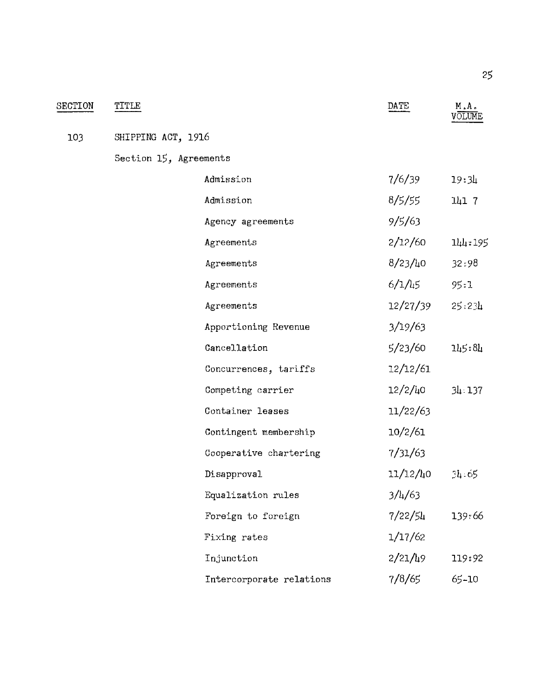| SECTION | TITLE                  |                          | DATE             | M.A.    |
|---------|------------------------|--------------------------|------------------|---------|
| 103     | SHIPPING ACT, 1916     |                          |                  |         |
|         | Section 15, Agreements |                          |                  |         |
|         |                        | Admission                | 7/6/39           | 19:31   |
|         |                        | Admission                | 8/5/55           | 141 7   |
|         |                        | Agency agreements        | 9/5/63           |         |
|         |                        | Agreements               | 2/12/60          | 144:195 |
|         |                        | Agreements               | 8/23/40          | 32:98   |
|         |                        | Agreements               | $6/1/l_15$       | 95:1    |
|         |                        | Agreements               | 12/27/39         | 25:2:4  |
|         |                        | Apportioning Revenue     | 3/19/63          |         |
|         |                        | Cancellation             | 5/23/60          | 145:84  |
|         |                        | Concurrences, tariffs    | 12/12/61         |         |
|         |                        | Competing carrier        | 12/2/40          | 34.137  |
|         |                        | Container leases         | 11/22/63         |         |
|         |                        | Contingent membership    | 10/2/61          |         |
|         |                        | Cooperative chartering   | 7/31/63          |         |
|         |                        | Disapproval              | 11/12/40         | 34.65   |
|         |                        | Equalization rules       | $3/\frac{1}{63}$ |         |
|         |                        | Foreign to foreign       | 7/22/54          | 139:66  |
|         |                        | Fixing rates             | 1/17/62          |         |
|         |                        | Injunction               | 2/21/49          | 119:92  |
|         |                        | Intercorporate relations | 7/8/65           | 65-10   |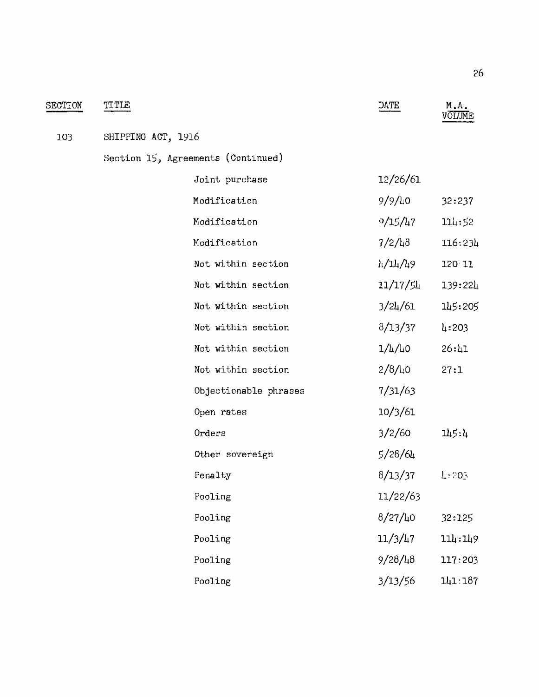| SECTION | TITLE              |                                    | DATE                 | M.A.<br>VOLUME      |
|---------|--------------------|------------------------------------|----------------------|---------------------|
| 103     | SHIPPING ACT, 1916 |                                    |                      |                     |
|         |                    | Section 15, Agreements (Continued) |                      |                     |
|         |                    | Joint purchase                     | 12/26/61             |                     |
|         |                    | Modification                       | 9/9/40               | 32:237              |
|         |                    | Modification                       | 9/15/47              | 114:52              |
|         |                    | Modification                       | 7/2/48               | 116:234             |
|         |                    | Not within section                 | h/14/h9              | 120 11              |
|         |                    | Not within section                 | 11/17/54             | 139:22 <sub>4</sub> |
|         |                    | Not within section                 | 3/24/61              | 145:205             |
|         |                    | Not within section                 | 8/13/37              | 4:203               |
|         |                    | Not within section                 | 1/4/40               | 26:11               |
|         |                    | Not within section                 | 2/8/40               | 27:1                |
|         |                    | Objectionable phrases              | 7/31/63              |                     |
|         |                    | Open rates                         | 10/3/61              |                     |
|         |                    | Orders                             | 3/2/60               | 145:4               |
|         |                    | Other sovereign                    | 5/28/64              |                     |
|         |                    | Penalty                            | 8/13/37              | 4:703               |
|         |                    | Pooling                            | 11/22/63             |                     |
|         |                    | Pooling                            | $8/27/l_10$          | 32:125              |
|         |                    | Pooling                            | 11/3/l <sub>47</sub> | 114:149             |
|         |                    | Pooling                            | 9/28/48              | 117:203             |
|         |                    | Pooling                            | 3/13/56              | 141:187             |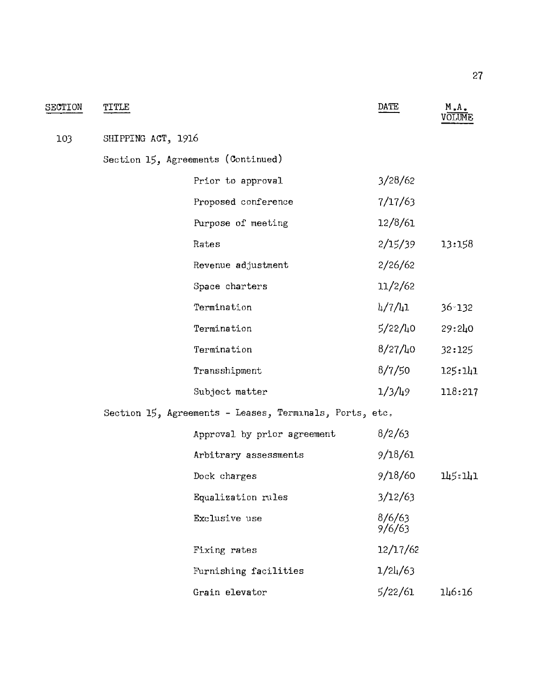| SECTION | TITLE              |                                                         | DATE             | M.A.<br>VOLUME |
|---------|--------------------|---------------------------------------------------------|------------------|----------------|
| 103     | SHIPPING ACT, 1916 |                                                         |                  |                |
|         |                    | Section 15, Agreements (Continued)                      |                  |                |
|         |                    | Prior to approval                                       | 3/28/62          |                |
|         |                    | Proposed conference                                     | 7/17/63          |                |
|         |                    | Purpose of meeting                                      | 12/8/61          |                |
|         |                    | Rates                                                   | 2/15/39          | 13:158         |
|         |                    | Revenue adjustment                                      | 2/26/62          |                |
|         |                    | Space charters                                          | 11/2/62          |                |
|         |                    | Termination                                             | 4/7/41           | $36 - 132$     |
|         |                    | Termination                                             | 5/22/40          | 29:240         |
|         |                    | Termination                                             | 8/27/40          | 32:125         |
|         |                    | Transshipment                                           | 8/7/50           | 125:141        |
|         |                    | Subject matter                                          | $1/3/\mu$ 9      | 118:217        |
|         |                    | Section 15, Agreements - Leases, Terminals, Ports, etc. |                  |                |
|         |                    | Approval by prior agreement                             | 8/2/63           |                |
|         |                    | Arbitrary assessments                                   | 9/18/61          |                |
|         |                    | Dock charges                                            | 9/18/60          | 145:141        |
|         |                    | Equalization rules                                      | 3/12/63          |                |
|         |                    | Exclusive use                                           | 8/6/63<br>9/6/63 |                |
|         |                    | Fixing rates                                            | 12/17/62         |                |
|         |                    | Furnishing facilities                                   | 1/24/63          |                |
|         |                    | Grain elevator                                          | 5/22/61          | 146:16         |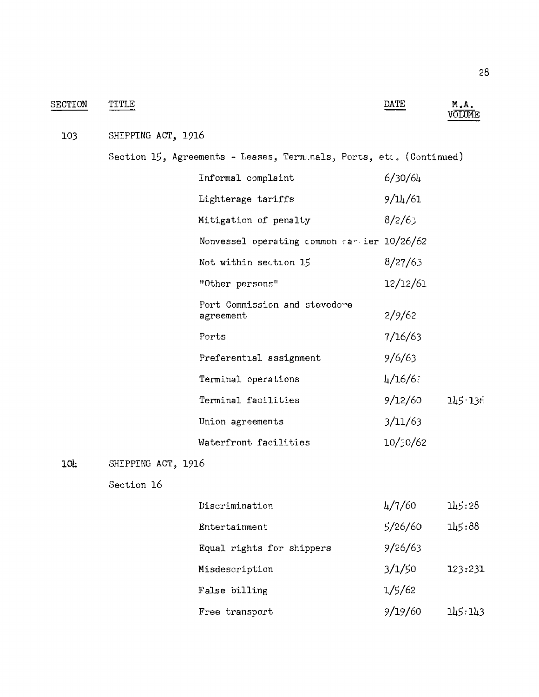| <b>SECTION</b> | TITLE              |                                                                        | DATE                 | M.A.    |
|----------------|--------------------|------------------------------------------------------------------------|----------------------|---------|
| 103            | SHIPPING ACT, 1916 |                                                                        |                      |         |
|                |                    | Section $15$ , Agreements - Leases, Termanals, Ports, etc. (Continued) |                      |         |
|                |                    | Informal complaint                                                     | 6/30/64              |         |
|                |                    | Lighterage tariffs                                                     | 9/14/61              |         |
|                |                    | Mitigation of penalty                                                  | 8/2/63               |         |
|                |                    | Nonvessel operating common can ier $10/26/62$                          |                      |         |
|                |                    | Not within section 15                                                  | 8/27/63              |         |
|                |                    | "Other persons"                                                        | 12/12/61             |         |
|                |                    | Port Commission and stevedore<br>agreement                             | 2/9/62               |         |
|                |                    | Ports                                                                  | 7/16/63              |         |
|                |                    | Preferential assignment                                                | 9/6/63               |         |
|                |                    | Terminal operations                                                    | $\frac{1}{4}$ /16/6? |         |
|                |                    | Terminal facilities                                                    | 9/12/60              | 145.136 |
|                |                    | Union agreements                                                       | 3/11/63              |         |
|                |                    | Waterfront facilities                                                  | 10/30/62             |         |
| 10L            | SHIPPING ACT, 1916 |                                                                        |                      |         |
|                | Section 16         |                                                                        |                      |         |
|                |                    | Discrimination                                                         | 4/7/60               | 145:28  |
|                |                    | Entertainment                                                          | 5/26/60              | 145:88  |
|                |                    | Equal rights for shippers                                              | 9/26/63              |         |
|                |                    | Misdescription                                                         | 3/1/50               | 123:231 |

False billing

Free transport

9/19/60  $145:143$ 

 $1/5/62$ 

 $28\,$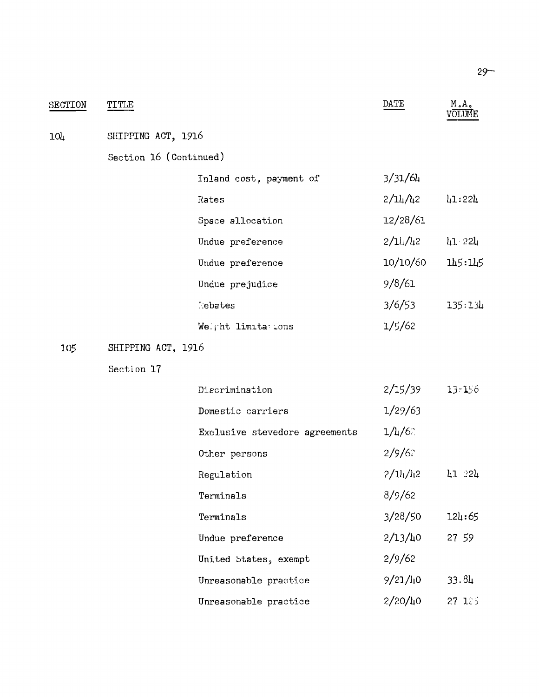| SECTION | TITLE                  |                                | DATE             | M.A.       |  |
|---------|------------------------|--------------------------------|------------------|------------|--|
| 104     | SHIPPING ACT, 1916     |                                |                  |            |  |
|         | Section 16 (Continued) |                                |                  |            |  |
|         |                        | Inland cost, payment of        | 3/31/64          |            |  |
|         |                        | Rates                          | $2/l_4/l_2$      | 41:224     |  |
|         |                        | Space allocation               | 12/28/61         |            |  |
|         |                        | Undue preference               | 2/L4/L2          | $11 - 221$ |  |
|         |                        | Undue preference               | 10/10/60         | 145:145    |  |
|         |                        | Undue prejudice                | 9/8/61           |            |  |
|         |                        | <b>E</b> ebates                | 3/6/53           | 135:134    |  |
|         |                        | Well ht limitations            | 1/5/62           |            |  |
| 105     | SHIPPING ACT, 1916     |                                |                  |            |  |
|         | Section 17             |                                |                  |            |  |
|         |                        | Discrimination                 | 2/15/39          | 13:156     |  |
|         |                        | Domestic carriers              | 1/29/63          |            |  |
|         |                        | Exclusive stevedore agreements | $1/\frac{1}{6}$  |            |  |
|         |                        | Other persons                  | 2/9/6            |            |  |
|         |                        | Regulation                     | $2/\frac{1}{42}$ | $41 - 24$  |  |
|         |                        | Terminals                      | 8/9/62           |            |  |
|         |                        | Terminals                      | 3/28/50          | 124:65     |  |
|         |                        | Undue preference               | 2/13/h0          | 27 59      |  |
|         |                        | United States, exempt          | 2/9/62           |            |  |
|         |                        | Unreasonable practice          | $9/21/l_10$      | 33.84      |  |
|         |                        | Unreasonable practice          | $2/20/l_10$      | 27 125     |  |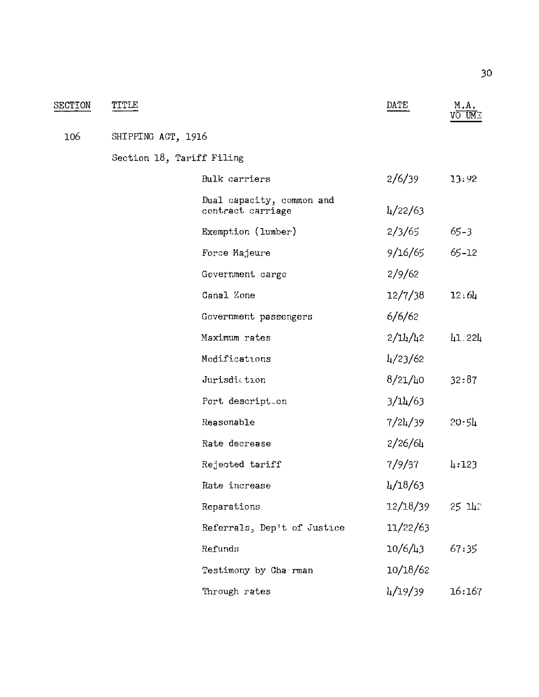| SECTION | TITLE                     |                                                | DATE              | M.A.<br>VO UM⊡    |
|---------|---------------------------|------------------------------------------------|-------------------|-------------------|
| 106     | SHIPPING ACT, 1916        |                                                |                   |                   |
|         | Section 18, Tariff Filing |                                                |                   |                   |
|         |                           | Bulk carriers                                  | 2/6/39            | 13:92             |
|         |                           | Dual capacity, common and<br>contract carriage | $\frac{1}{22}/63$ |                   |
|         |                           | Exemption (lumber)                             | 2/3/65            | $65 - 3$          |
|         |                           | Force Majeure                                  | 9/16/65           | $65 - 12$         |
|         |                           | Government cargo                               | 2/9/62            |                   |
|         |                           | Canal Zone                                     | 12/7/38           | 12.6 <sub>h</sub> |
|         |                           | Government passengers                          | 6/6/62            |                   |
|         |                           | Maximum rates                                  | 2/L4/L2           | 41.224            |
|         |                           | Modifications                                  | $\frac{1}{23/62}$ |                   |
|         |                           | Jurisdiction                                   | 8/21/40           | 32:87             |
|         |                           | Port descript.on                               | 3/14/63           |                   |
|         |                           | Reasonable                                     | 7/24/39           | 20.54             |
|         |                           | Rate decrease                                  | 2/26/64           |                   |
|         |                           | Rejected tariff                                | 7/9/37            | 4:123             |
|         |                           | Rate increase                                  | 4/18/63           |                   |
|         |                           | Reparations                                    | 12/18/39          | $25$ $1h$         |
|         |                           | Referrals, Dep't of Justice                    | 11/22/63          |                   |
|         |                           | Refunds                                        | 10/6/43           | 67:35             |
|         |                           | Testimony by Charman                           | 10/18/62          |                   |
|         |                           | Through rates                                  | 4/19/39           | 16:167            |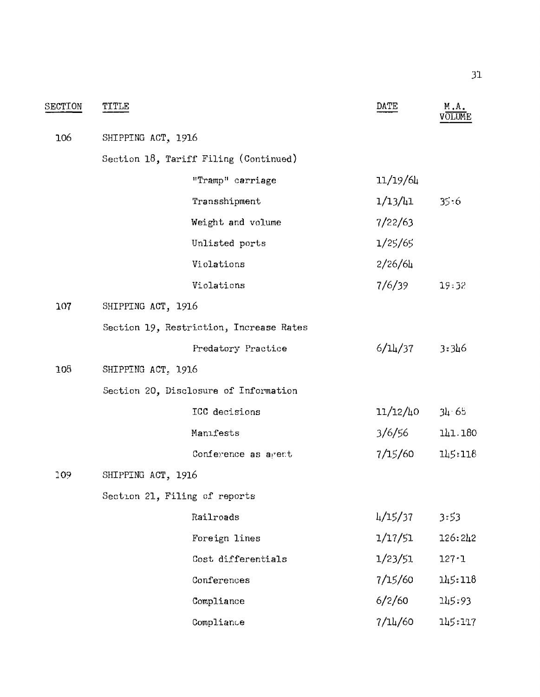| SECTION | TITLE                                 |                                         | DATE     | М.А.      |
|---------|---------------------------------------|-----------------------------------------|----------|-----------|
| 106     | SHIPPING ACT, 1916                    |                                         |          |           |
|         | Section 18, Tariff Filing (Continued) |                                         |          |           |
|         |                                       | "Tramp" carriage                        | 11/19/64 |           |
|         |                                       | Transshipment                           | 1/13/41  | 35.6      |
|         |                                       | Weight and volume                       | 7/22/63  |           |
|         |                                       | Unlisted ports                          | 1/25/65  |           |
|         |                                       | Violations                              | 2/26/64  |           |
|         |                                       | Violations                              | 7/6/39   | 19:32     |
| 107     | SHIPPING ACT, 1916                    |                                         |          |           |
|         |                                       | Section 19, Restriction, Increase Rates |          |           |
|         |                                       | Predatory Practice                      | 6/14/37  | 3:346     |
| 108     | SHIPPING ACT, 1916                    |                                         |          |           |
|         | Section 20, Disclosure of Information |                                         |          |           |
|         |                                       | ICC decisions                           | 11/12/40 | 34.65     |
|         |                                       | Manifests                               | 3/6/56   | 141.180   |
|         |                                       | Conference as agent                     | 7/15/60  | 145:118   |
| 109.    | SHIPPING ACT, 1916                    |                                         |          |           |
|         | Section 21, Filing of reports         |                                         |          |           |
|         |                                       | Railroads                               | 4/15/37  | 3:53      |
|         |                                       | Foreign lines                           | 1/17/51  | 126:242   |
|         |                                       | Cost differentials                      | 1/23/51  | $127 - 1$ |
|         |                                       | Conferences                             | 7/15/60  | 145:118   |
|         |                                       | Compliance                              | 6/2/60   | 145:93    |
|         |                                       | Compliance                              | 7/14/60  | 145:117   |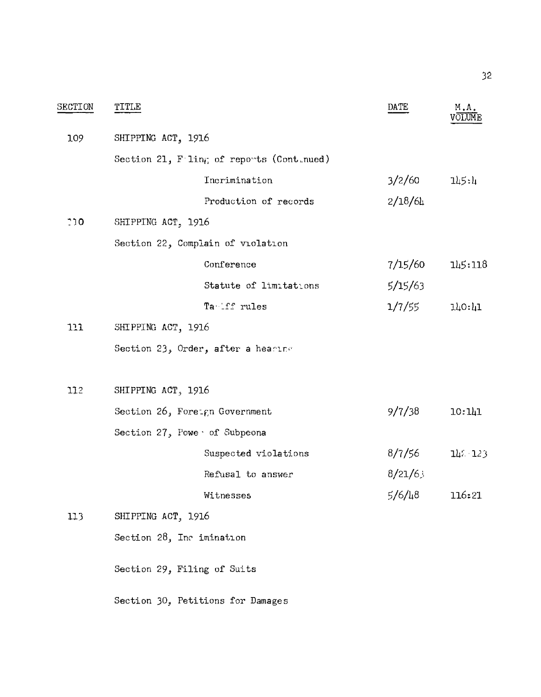| SECTION | TITLE                                       | DATE       | M.A.    |
|---------|---------------------------------------------|------------|---------|
| 109     | SHIPPING ACT, 1916                          |            |         |
|         | Section 21, $F$ ling of reports (Continued) |            |         |
|         | Incrimination                               | 3/2/60     | 115:1   |
|         | Production of records                       | 2/18/6h    |         |
| D C 1   | SHIPPING ACT, 1916                          |            |         |
|         | Section 22, Complain of violation           |            |         |
|         | Conference                                  | 7/15/60    | 145:118 |
|         | Statute of limitations                      | 5/15/63    |         |
|         | Ta ff rules                                 | 1/7/55     | 110:11  |
| 111     | SHIPPING ACT, 1916                          |            |         |
|         | Section 23, Order, after a hearing          |            |         |
| 112     | SHIPPING ACT, 1916                          |            |         |
|         | Section 26, Foreign Government              | 9/7/38     | 10:111  |
|         | Section $272$ Powe of Subpeona              |            |         |
|         | Suspected violations                        | 8/7/56     | 14: 123 |
|         | Refusal to answer                           | 8/21/6     |         |
|         | Witnesses                                   | $5/6/l_48$ | 116:21  |
| 113     | SHIPPING ACT, 1916                          |            |         |
|         | Section 28, Inc imination                   |            |         |
|         | Section 29, Filing of Suits                 |            |         |
|         | Section 30, Petitions for Damages           |            |         |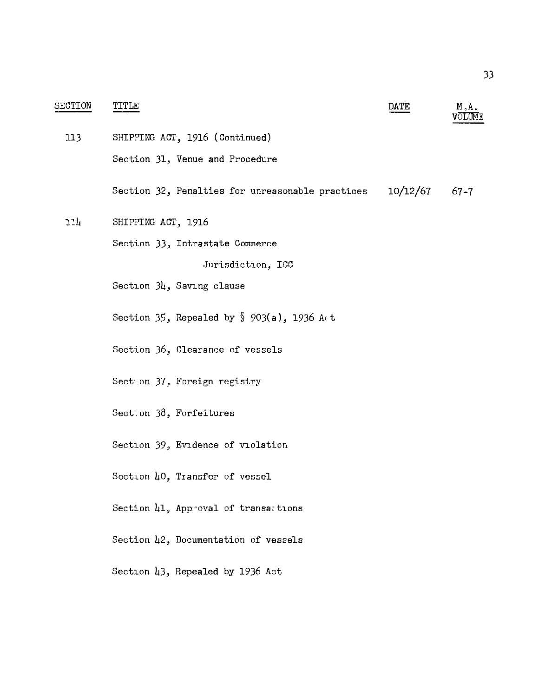| SECTION | TITLE                                                       | DATE     | M.A.<br>VOLUME |
|---------|-------------------------------------------------------------|----------|----------------|
| 113     | SHIPPING ACT, 1916 (Continued)                              |          |                |
|         | Section 31, Venue and Procedure                             |          |                |
|         | Section 32, Penalties for unreasonable practices            | 10/12/67 | $67 - 7$       |
| 11h     | SHIPPING ACT, 1916                                          |          |                |
|         | Section 33, Intrastate Commerce                             |          |                |
|         | Jurisdiction, ICC                                           |          |                |
|         | Saving clause                                               |          |                |
|         | Section 35, Repealed by $\sqrt[6]{903(a)}$ , 1936 A $\in$ t |          |                |
|         | Section 36, Clearance of vessels                            |          |                |
|         | Section 37, Foreign registry                                |          |                |
|         | Section $38$ , Forfeitures                                  |          |                |
|         | Section 39, Evidence of violation                           |          |                |
|         | Section 40, Transfer of vessel                              |          |                |
|         | Section 41, Approval of transactions                        |          |                |
|         | Section 42, Documentation of vessels                        |          |                |
|         | Section 43, Repealed by 1936 Act                            |          |                |
|         |                                                             |          |                |
|         |                                                             |          |                |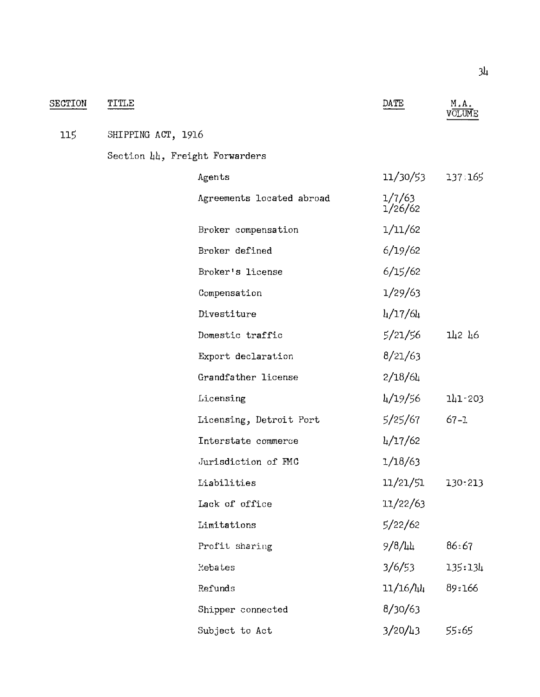| SECTION | TITLE              |                                | DATE              | M.A.<br>VOLUME |
|---------|--------------------|--------------------------------|-------------------|----------------|
| 115     | SHIPPING ACT, 1916 |                                |                   |                |
|         |                    | Section 44, Freight Forwarders |                   |                |
|         |                    | Agents                         | 11/30/53          | 137 165        |
|         |                    | Agreements located abroad      | 1/7/63<br>1/26/62 |                |
|         |                    | Broker compensation            | 1/11/62           |                |
|         |                    | Broker defined                 | 6/19/62           |                |
|         |                    | Broker's license               | 6/15/62           |                |
|         |                    | Compensation                   | 1/29/63           |                |
|         |                    | Divestiture                    | 4/17/64           |                |
|         |                    | Domestic traffic               | 5/21/56           | 142 46         |
|         |                    | Export declaration             | 8/21/63           |                |
|         |                    | Grandfather license            | 2/18/64           |                |
|         |                    | Licensing                      | 4/19/56           | 111.203        |
|         |                    | Licensing, Detroit Port        | 5/25/67           | $67 - 1$       |
|         |                    | Interstate commerce            | 4/17/62           |                |
|         |                    | Jurisdiction of FMC            | 1/18/63           |                |
|         |                    | Liabilities                    | 11/21/51          | 130:213        |
|         |                    | Lack of office                 | 11/22/63          |                |
|         |                    | Limitations                    | 5/22/62           |                |
|         |                    | Profit sharing                 | $9/8/l_4l_4$      | 86:67          |
|         |                    | Rebates                        | 3/6/53            | 135:134        |
|         |                    | Refunds                        | 11/16/44          | 89:166         |
|         |                    | Shipper connected              | 8/30/63           |                |
|         |                    | Subject to Act                 | 3/20/43           | 55:65          |

34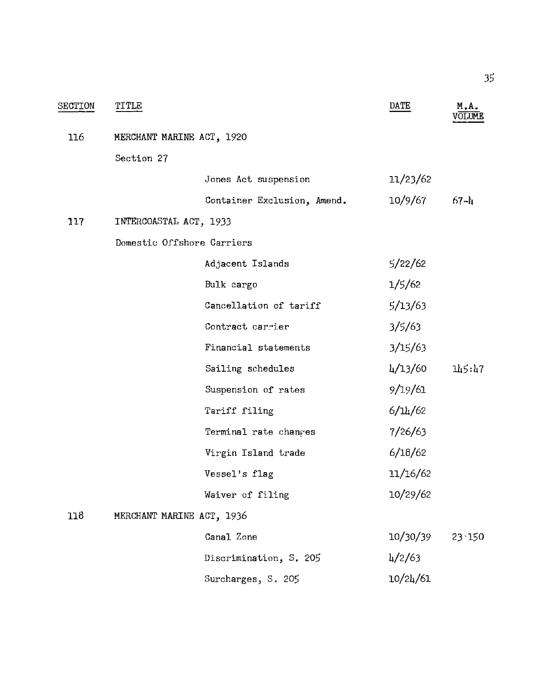| <b>SECTION</b> | TITLE                     |                             | DATE              | M.A.     |
|----------------|---------------------------|-----------------------------|-------------------|----------|
| 116            | MERCHANT MARINE ACT, 1920 |                             |                   |          |
|                | Section 27                |                             |                   |          |
|                |                           | Jones Act suspension        | 11/23/62          |          |
|                |                           | Container Exclusion, Amend. | 10/9/67           | $67 - h$ |
| 117            | INTERCOASTAL ACT, 1933    |                             |                   |          |
|                |                           | Domestic Offshore Carriers  |                   |          |
|                |                           | Adjacent Islands            | 5/22/62           |          |
|                |                           | Bulk cargo                  | 1/5/62            |          |
|                |                           | Cancellation of tariff      | 5/13/63           |          |
|                |                           | Contract carrier            | 3/5/63            |          |
|                |                           | Financial statements        | 3/15/63           |          |
|                |                           | Sailing schedules           | 4/13/60           | 145:47   |
|                |                           | Suspension of rates         | 9/19/61           |          |
|                |                           | Tariff filing               | 6/14/62           |          |
|                |                           | Terminal rate changes       | 7/26/63           |          |
|                |                           | Virgin Island trade         | 6/18/62           |          |
|                |                           | Vessel's flag               | 11/16/62          |          |
|                |                           | Waiver of filing            | 10/29/62          |          |
| 118            | MERCHANT MARINE ACT, 1936 |                             |                   |          |
|                |                           | Canal Zone                  | 10/30/39          | 23 150   |
|                |                           | Discrimination, S. 205      | $\frac{1}{2}$ /63 |          |
|                |                           | Surcharges, S. 205          | 10/24/61          |          |

35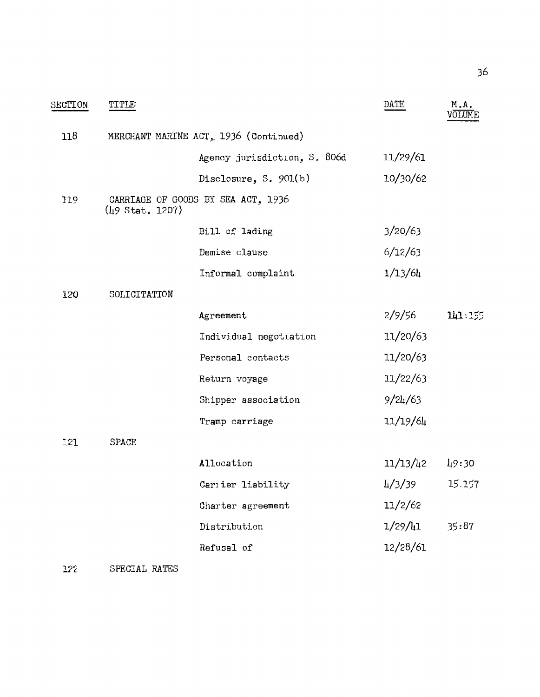| <b>SECTION</b> | TITLE           |                                       | DATE          | M.A.<br>volume |
|----------------|-----------------|---------------------------------------|---------------|----------------|
| 118            |                 | MERCHANT MARINE ACT, 1936 (Continued) |               |                |
|                |                 | Agency jurisdiction, S. 806d          | 11/29/61      |                |
|                |                 | Disclosure, S. $901(b)$               | 10/30/62      |                |
| 119            | (49 Stat. 1207) | CARRIAGE OF GOODS BY SEA ACT, 1936    |               |                |
|                |                 | Bill of lading                        | 3/20/63       |                |
|                |                 | Demise clause                         | 6/12/63       |                |
|                |                 | Informal complaint                    | 1/13/64       |                |
| 120            | SOLICITATION    |                                       |               |                |
|                |                 | Agreement                             | 2/9/56        | 141 155        |
|                |                 | Individual negotiation                | 11/20/63      |                |
|                |                 | Personal contacts                     | 11/20/63      |                |
|                |                 | Return voyage                         | 11/22/63      |                |
|                |                 | Shipper association                   | 9/24/63       |                |
|                |                 | Tramp carriage                        | 11/19/64      |                |
| 1.21           | <b>SPACE</b>    |                                       |               |                |
|                |                 | Allocation                            | 11/13/42      | 49:30          |
|                |                 | Carrier liability                     | $\frac{1}{3}$ | 15.157         |
|                |                 | Charter agreement                     | 11/2/62       |                |
|                |                 | Distribution                          | $1/29/l_11$   | 35:87          |
|                |                 | Refusal of                            | 12/28/61      |                |
|                |                 |                                       |               |                |

SPECIAL RATES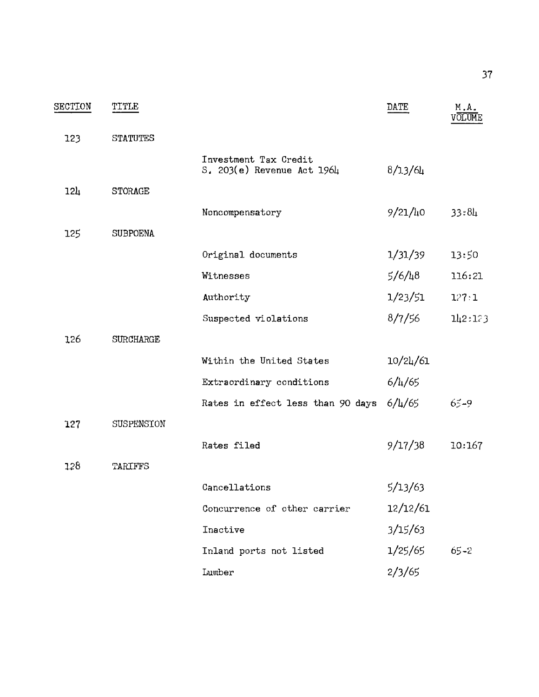| SECTION         | TITLE            |                                                     | DATE         | M.A.<br>OLIME |
|-----------------|------------------|-----------------------------------------------------|--------------|---------------|
| 123             | <b>STATUTES</b>  |                                                     |              |               |
|                 |                  | Investment Tax Credit<br>S. 203(e) Revenue Act 1964 | 8/13/64      |               |
| 12 <sub>4</sub> | <b>STORAGE</b>   |                                                     |              |               |
|                 |                  | Noncompensatory                                     | $9/21/\mu$ 0 | 33:84         |
| 125             | <b>SUBPOENA</b>  |                                                     |              |               |
|                 |                  | Original documents                                  | 1/31/39      | 13:50         |
|                 |                  | Witnesses                                           | $5/6/l_48$   | 116:21        |
|                 |                  | Authority                                           | 1/23/51      | 127:1         |
|                 |                  | Suspected violations                                | 8/7/56       | 112:173       |
| 126             | <b>SURCHARGE</b> |                                                     |              |               |
|                 |                  | Within the United States                            | 10/24/61     |               |
|                 |                  | Extraordinary conditions                            | $6/\mu/65$   |               |
|                 |                  | Rates in effect less than 90 days $6/\frac{1}{6}$   |              | $65 - 9$      |
| 127             | SUSPENSION       |                                                     |              |               |
|                 |                  | Rates filed                                         | 9/17/38      | 10:167        |
| 128             | TARIFFS          |                                                     |              |               |
|                 |                  | Cancellations                                       | 5/13/63      |               |
|                 |                  | Concurrence of other carrier                        | 12/12/61     |               |
|                 |                  | Inactive                                            | 3/15/63      |               |
|                 |                  | Inland ports not listed                             | 1/25/65      | $65 - 2$      |
|                 |                  | Lumber                                              | 2/3/65       |               |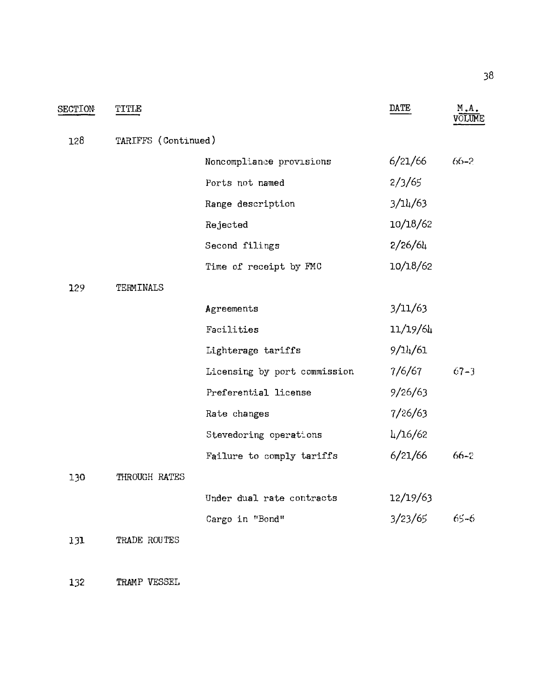| SECTION | TITLE               |                              | DATE     | M.A.     |  |
|---------|---------------------|------------------------------|----------|----------|--|
| 128     | TARIFFS (Continued) |                              |          |          |  |
|         |                     | Noncompliance provisions     | 6/21/66  | $66-2$   |  |
|         |                     | Ports not named              | 2/3/65   |          |  |
|         |                     | Range description            | 3/14/63  |          |  |
|         |                     | Rejected                     | 10/18/62 |          |  |
|         |                     | Second filings               | 2/26/64  |          |  |
|         |                     | Time of receipt by FMC       | 10/18/62 |          |  |
| 129     | TERMINALS           |                              |          |          |  |
|         |                     | Agreements                   | 3/11/63  |          |  |
|         |                     | Facilities                   | 11/19/64 |          |  |
|         |                     | Lighterage tariffs           | 9/14/61  |          |  |
|         |                     | Licensing by port commission | 7/6/67   | $C7 - 3$ |  |
|         |                     | Preferential license         | 9/26/63  |          |  |
|         |                     | Rate changes                 | 7/26/63  |          |  |
|         |                     | Stevedoring operations       | 4/16/62  |          |  |
|         |                     | Failure to comply tariffs    | 6/21/66  | $66 - 2$ |  |
| 130     | THROUGH RATES       |                              |          |          |  |
|         |                     | Under dual rate contracts    | 12/19/63 |          |  |
|         |                     | Cargo in "Bond"              | 3/23/65  | -65-6    |  |
| 131     | TRADE ROUTES        |                              |          |          |  |
|         |                     |                              |          |          |  |

132 TRAMP VESSEL

38